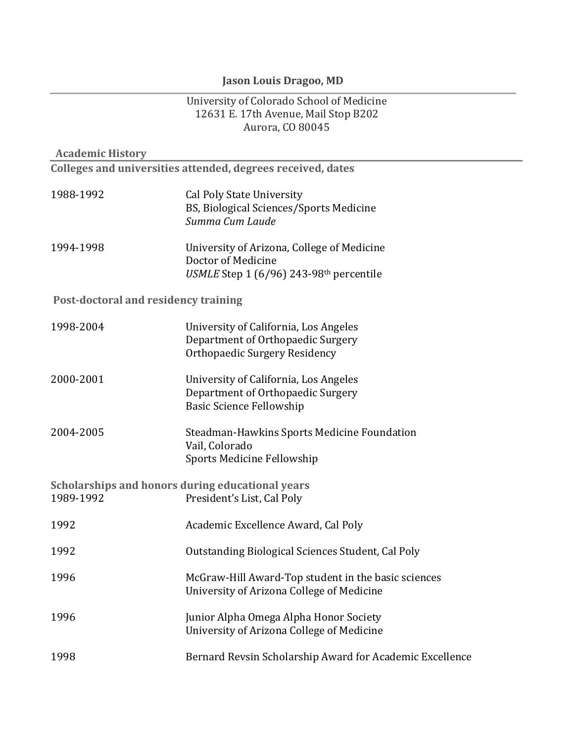# **Jason Louis Dragoo, MD**

#### University of Colorado School of Medicine 12631 E. 17th Avenue, Mail Stop B202 Aurora, CO 80045

| <b>Academic History</b>              |                                                                                                               |
|--------------------------------------|---------------------------------------------------------------------------------------------------------------|
|                                      | Colleges and universities attended, degrees received, dates                                                   |
| 1988-1992                            | <b>Cal Poly State University</b><br>BS, Biological Sciences/Sports Medicine<br>Summa Cum Laude                |
| 1994-1998                            | University of Arizona, College of Medicine<br>Doctor of Medicine<br>USMLE Step 1 (6/96) 243-98th percentile   |
| Post-doctoral and residency training |                                                                                                               |
| 1998-2004                            | University of California, Los Angeles<br>Department of Orthopaedic Surgery<br>Orthopaedic Surgery Residency   |
| 2000-2001                            | University of California, Los Angeles<br>Department of Orthopaedic Surgery<br><b>Basic Science Fellowship</b> |
| 2004-2005                            | Steadman-Hawkins Sports Medicine Foundation<br>Vail, Colorado<br><b>Sports Medicine Fellowship</b>            |
| 1989-1992                            | Scholarships and honors during educational years<br>President's List, Cal Poly                                |
| 1992                                 | Academic Excellence Award, Cal Poly                                                                           |
| 1992                                 | Outstanding Biological Sciences Student, Cal Poly                                                             |
| 1996                                 | McGraw-Hill Award-Top student in the basic sciences<br>University of Arizona College of Medicine              |
| 1996                                 | Junior Alpha Omega Alpha Honor Society<br>University of Arizona College of Medicine                           |
| 1998                                 | Bernard Revsin Scholarship Award for Academic Excellence                                                      |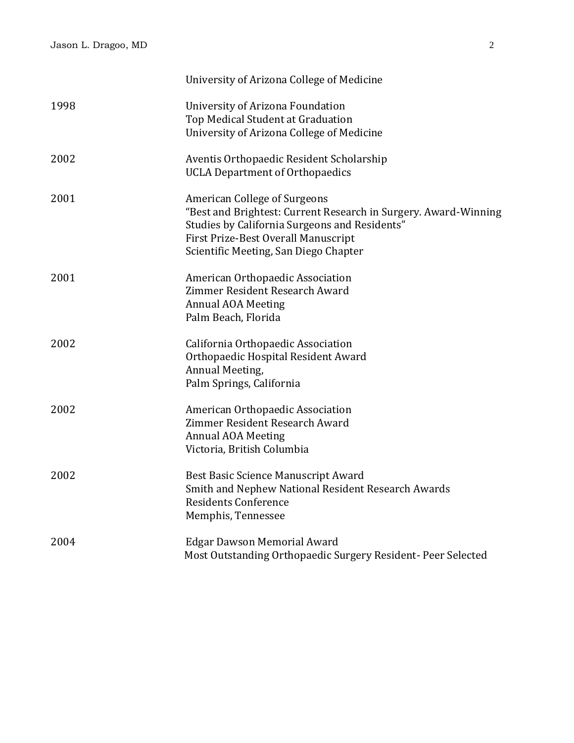|      | University of Arizona College of Medicine                                                                                                                                                                                               |
|------|-----------------------------------------------------------------------------------------------------------------------------------------------------------------------------------------------------------------------------------------|
| 1998 | University of Arizona Foundation<br>Top Medical Student at Graduation<br>University of Arizona College of Medicine                                                                                                                      |
| 2002 | Aventis Orthopaedic Resident Scholarship<br><b>UCLA Department of Orthopaedics</b>                                                                                                                                                      |
| 2001 | <b>American College of Surgeons</b><br>"Best and Brightest: Current Research in Surgery. Award-Winning<br>Studies by California Surgeons and Residents"<br>First Prize-Best Overall Manuscript<br>Scientific Meeting, San Diego Chapter |
| 2001 | American Orthopaedic Association<br>Zimmer Resident Research Award<br><b>Annual AOA Meeting</b><br>Palm Beach, Florida                                                                                                                  |
| 2002 | California Orthopaedic Association<br>Orthopaedic Hospital Resident Award<br>Annual Meeting,<br>Palm Springs, California                                                                                                                |
| 2002 | American Orthopaedic Association<br>Zimmer Resident Research Award<br><b>Annual AOA Meeting</b><br>Victoria, British Columbia                                                                                                           |
| 2002 | Best Basic Science Manuscript Award<br>Smith and Nephew National Resident Research Awards<br><b>Residents Conference</b><br>Memphis, Tennessee                                                                                          |
| 2004 | <b>Edgar Dawson Memorial Award</b><br>Most Outstanding Orthopaedic Surgery Resident- Peer Selected                                                                                                                                      |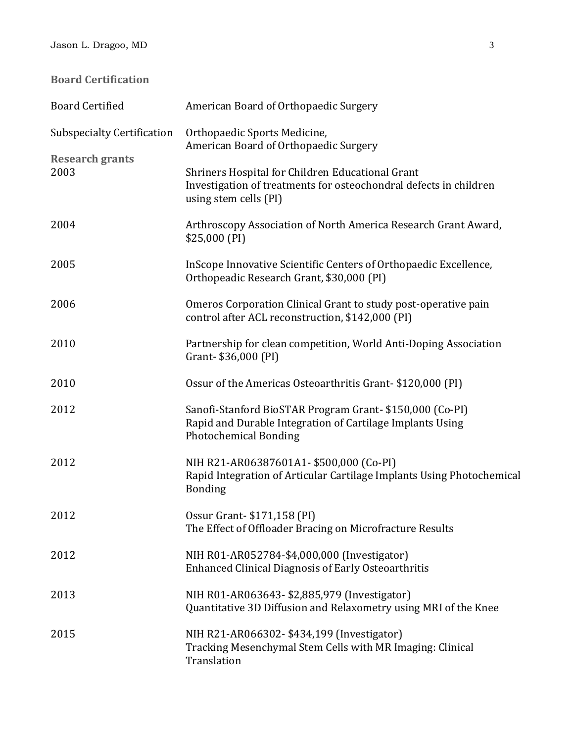**Board Certification**

| <b>Board Certified</b>            | American Board of Orthopaedic Surgery                                                                                                                |
|-----------------------------------|------------------------------------------------------------------------------------------------------------------------------------------------------|
| <b>Subspecialty Certification</b> | Orthopaedic Sports Medicine,<br>American Board of Orthopaedic Surgery                                                                                |
| <b>Research grants</b><br>2003    | Shriners Hospital for Children Educational Grant<br>Investigation of treatments for osteochondral defects in children<br>using stem cells (PI)       |
| 2004                              | Arthroscopy Association of North America Research Grant Award,<br>$$25,000$ (PI)                                                                     |
| 2005                              | InScope Innovative Scientific Centers of Orthopaedic Excellence,<br>Orthopeadic Research Grant, \$30,000 (PI)                                        |
| 2006                              | Omeros Corporation Clinical Grant to study post-operative pain<br>control after ACL reconstruction, \$142,000 (PI)                                   |
| 2010                              | Partnership for clean competition, World Anti-Doping Association<br>Grant-\$36,000 (PI)                                                              |
| 2010                              | Ossur of the Americas Osteoarthritis Grant-\$120,000 (PI)                                                                                            |
| 2012                              | Sanofi-Stanford BioSTAR Program Grant-\$150,000 (Co-PI)<br>Rapid and Durable Integration of Cartilage Implants Using<br><b>Photochemical Bonding</b> |
| 2012                              | NIH R21-AR06387601A1- \$500,000 (Co-PI)<br>Rapid Integration of Articular Cartilage Implants Using Photochemical<br><b>Bonding</b>                   |
| 2012                              | Ossur Grant - \$171,158 (PI)<br>The Effect of Offloader Bracing on Microfracture Results                                                             |
| 2012                              | NIH R01-AR052784-\$4,000,000 (Investigator)<br><b>Enhanced Clinical Diagnosis of Early Osteoarthritis</b>                                            |
| 2013                              | NIH R01-AR063643- \$2,885,979 (Investigator)<br>Quantitative 3D Diffusion and Relaxometry using MRI of the Knee                                      |
| 2015                              | NIH R21-AR066302- \$434,199 (Investigator)<br>Tracking Mesenchymal Stem Cells with MR Imaging: Clinical<br>Translation                               |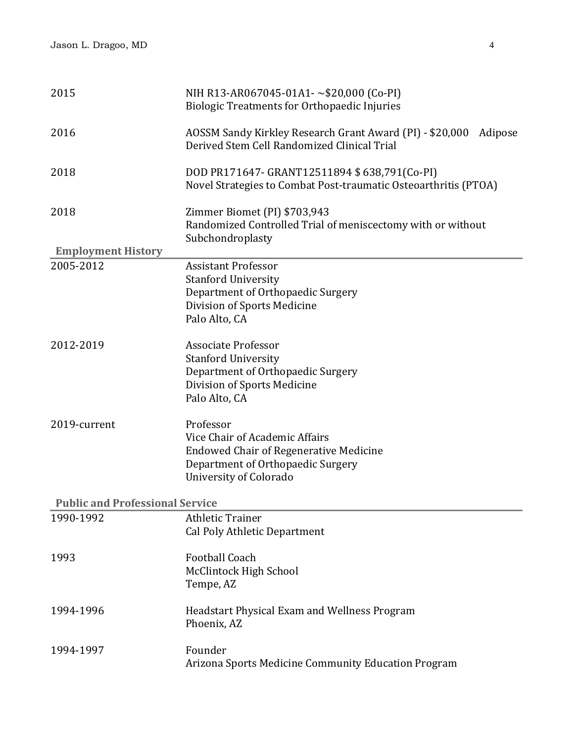| 2015                                   | NIH R13-AR067045-01A1-~\$20,000 (Co-PI)<br><b>Biologic Treatments for Orthopaedic Injuries</b>                                                              |
|----------------------------------------|-------------------------------------------------------------------------------------------------------------------------------------------------------------|
| 2016                                   | AOSSM Sandy Kirkley Research Grant Award (PI) - \$20,000<br>Adipose<br>Derived Stem Cell Randomized Clinical Trial                                          |
| 2018                                   | DOD PR171647- GRANT12511894 \$638,791(Co-PI)<br>Novel Strategies to Combat Post-traumatic Osteoarthritis (PTOA)                                             |
| 2018                                   | Zimmer Biomet (PI) \$703,943<br>Randomized Controlled Trial of meniscectomy with or without<br>Subchondroplasty                                             |
| <b>Employment History</b>              |                                                                                                                                                             |
| 2005-2012                              | <b>Assistant Professor</b><br><b>Stanford University</b><br>Department of Orthopaedic Surgery<br>Division of Sports Medicine<br>Palo Alto, CA               |
| 2012-2019                              | <b>Associate Professor</b><br><b>Stanford University</b><br>Department of Orthopaedic Surgery<br>Division of Sports Medicine<br>Palo Alto, CA               |
| 2019-current                           | Professor<br>Vice Chair of Academic Affairs<br><b>Endowed Chair of Regenerative Medicine</b><br>Department of Orthopaedic Surgery<br>University of Colorado |
| <b>Public and Professional Service</b> |                                                                                                                                                             |
| 1990-1992                              | <b>Athletic Trainer</b><br><b>Cal Poly Athletic Department</b>                                                                                              |
| 1993                                   | <b>Football Coach</b><br><b>McClintock High School</b><br>Tempe, AZ                                                                                         |
| 1994-1996                              | Headstart Physical Exam and Wellness Program<br>Phoenix, AZ                                                                                                 |
| 1994-1997                              | Founder<br>Arizona Sports Medicine Community Education Program                                                                                              |
|                                        |                                                                                                                                                             |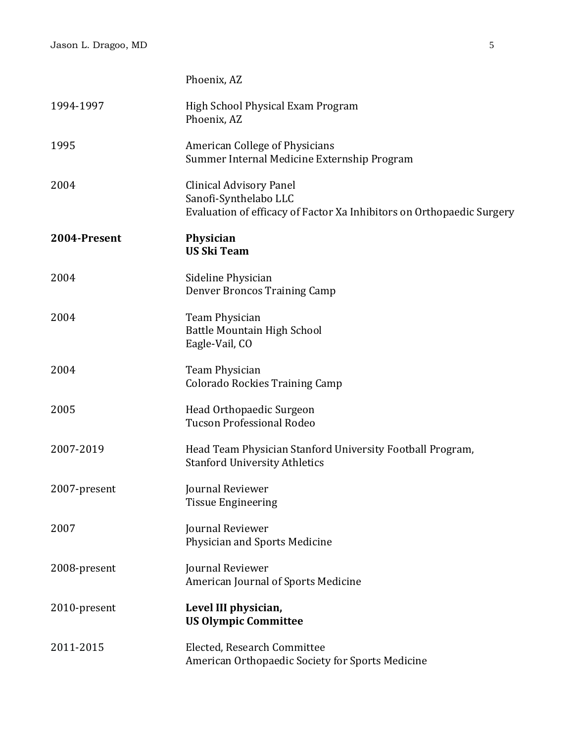|              | Phoenix, AZ                                                                                                                      |
|--------------|----------------------------------------------------------------------------------------------------------------------------------|
| 1994-1997    | High School Physical Exam Program<br>Phoenix, AZ                                                                                 |
| 1995         | <b>American College of Physicians</b><br>Summer Internal Medicine Externship Program                                             |
| 2004         | <b>Clinical Advisory Panel</b><br>Sanofi-Synthelabo LLC<br>Evaluation of efficacy of Factor Xa Inhibitors on Orthopaedic Surgery |
| 2004-Present | Physician<br><b>US Ski Team</b>                                                                                                  |
| 2004         | Sideline Physician<br><b>Denver Broncos Training Camp</b>                                                                        |
| 2004         | Team Physician<br><b>Battle Mountain High School</b><br>Eagle-Vail, CO                                                           |
| 2004         | Team Physician<br><b>Colorado Rockies Training Camp</b>                                                                          |
| 2005         | Head Orthopaedic Surgeon<br><b>Tucson Professional Rodeo</b>                                                                     |
| 2007-2019    | Head Team Physician Stanford University Football Program,<br><b>Stanford University Athletics</b>                                |
| 2007-present | Journal Reviewer<br><b>Tissue Engineering</b>                                                                                    |
| 2007         | Journal Reviewer<br>Physician and Sports Medicine                                                                                |
| 2008-present | Journal Reviewer<br>American Journal of Sports Medicine                                                                          |
| 2010-present | Level III physician,<br><b>US Olympic Committee</b>                                                                              |
| 2011-2015    | Elected, Research Committee<br>American Orthopaedic Society for Sports Medicine                                                  |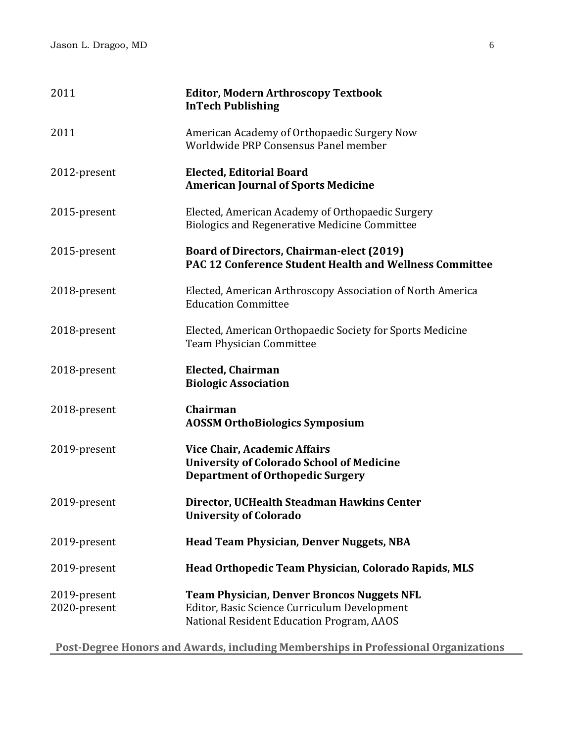| 2011                         | <b>Editor, Modern Arthroscopy Textbook</b><br><b>InTech Publishing</b>                                                                         |
|------------------------------|------------------------------------------------------------------------------------------------------------------------------------------------|
| 2011                         | American Academy of Orthopaedic Surgery Now<br>Worldwide PRP Consensus Panel member                                                            |
| 2012-present                 | <b>Elected, Editorial Board</b><br><b>American Journal of Sports Medicine</b>                                                                  |
| 2015-present                 | Elected, American Academy of Orthopaedic Surgery<br><b>Biologics and Regenerative Medicine Committee</b>                                       |
| 2015-present                 | <b>Board of Directors, Chairman-elect (2019)</b><br><b>PAC 12 Conference Student Health and Wellness Committee</b>                             |
| 2018-present                 | Elected, American Arthroscopy Association of North America<br><b>Education Committee</b>                                                       |
| 2018-present                 | Elected, American Orthopaedic Society for Sports Medicine<br>Team Physician Committee                                                          |
| 2018-present                 | <b>Elected, Chairman</b><br><b>Biologic Association</b>                                                                                        |
| 2018-present                 | Chairman<br><b>AOSSM OrthoBiologics Symposium</b>                                                                                              |
| 2019-present                 | <b>Vice Chair, Academic Affairs</b><br><b>University of Colorado School of Medicine</b><br><b>Department of Orthopedic Surgery</b>             |
| 2019-present                 | Director, UCHealth Steadman Hawkins Center<br><b>University of Colorado</b>                                                                    |
| 2019-present                 | <b>Head Team Physician, Denver Nuggets, NBA</b>                                                                                                |
| 2019-present                 | Head Orthopedic Team Physician, Colorado Rapids, MLS                                                                                           |
| 2019-present<br>2020-present | <b>Team Physician, Denver Broncos Nuggets NFL</b><br>Editor, Basic Science Curriculum Development<br>National Resident Education Program, AAOS |

**Post-Degree Honors and Awards, including Memberships in Professional Organizations**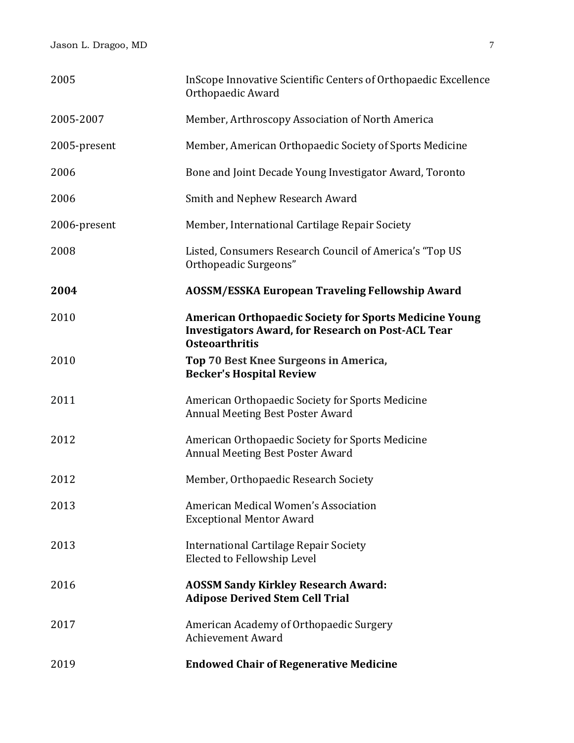| 2005         | InScope Innovative Scientific Centers of Orthopaedic Excellence<br>Orthopaedic Award                                                                |
|--------------|-----------------------------------------------------------------------------------------------------------------------------------------------------|
| 2005-2007    | Member, Arthroscopy Association of North America                                                                                                    |
| 2005-present | Member, American Orthopaedic Society of Sports Medicine                                                                                             |
| 2006         | Bone and Joint Decade Young Investigator Award, Toronto                                                                                             |
| 2006         | Smith and Nephew Research Award                                                                                                                     |
| 2006-present | Member, International Cartilage Repair Society                                                                                                      |
| 2008         | Listed, Consumers Research Council of America's "Top US<br>Orthopeadic Surgeons"                                                                    |
| 2004         | <b>AOSSM/ESSKA European Traveling Fellowship Award</b>                                                                                              |
| 2010         | <b>American Orthopaedic Society for Sports Medicine Young</b><br><b>Investigators Award, for Research on Post-ACL Tear</b><br><b>Osteoarthritis</b> |
| 2010         | Top 70 Best Knee Surgeons in America,<br><b>Becker's Hospital Review</b>                                                                            |
| 2011         | American Orthopaedic Society for Sports Medicine<br>Annual Meeting Best Poster Award                                                                |
| 2012         | American Orthopaedic Society for Sports Medicine<br>Annual Meeting Best Poster Award                                                                |
| 2012         | Member, Orthopaedic Research Society                                                                                                                |
| 2013         | American Medical Women's Association<br><b>Exceptional Mentor Award</b>                                                                             |
| 2013         | International Cartilage Repair Society<br>Elected to Fellowship Level                                                                               |
| 2016         | <b>AOSSM Sandy Kirkley Research Award:</b><br><b>Adipose Derived Stem Cell Trial</b>                                                                |
| 2017         | American Academy of Orthopaedic Surgery<br><b>Achievement Award</b>                                                                                 |
| 2019         | <b>Endowed Chair of Regenerative Medicine</b>                                                                                                       |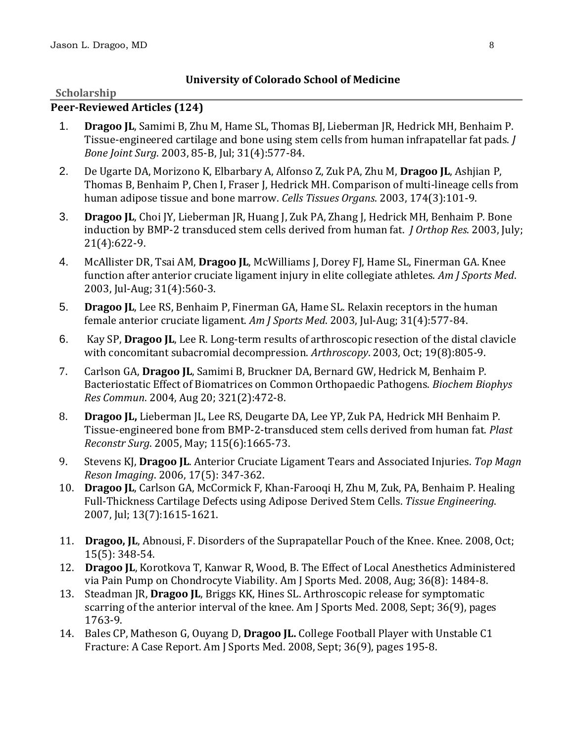## **University of Colorado School of Medicine**

#### **Scholarship**

#### **Peer-Reviewed Articles (124)**

- 1. **Dragoo JL**, Samimi B, Zhu M, Hame SL, Thomas BJ, Lieberman JR, Hedrick MH, Benhaim P. Tissue-engineered cartilage and bone using stem cells from human infrapatellar fat pads. *J Bone Joint Surg*. 2003, 85-B, Jul; 31(4):577-84.
- 2. De Ugarte DA, Morizono K, Elbarbary A, Alfonso Z, Zuk PA, Zhu M, **Dragoo JL**, Ashjian P, Thomas B, Benhaim P, Chen I, Fraser J, Hedrick MH. Comparison of multi-lineage cells from human adipose tissue and bone marrow. *Cells Tissues Organs*. 2003, 174(3):101-9.
- 3. **Dragoo JL**, Choi JY, Lieberman JR, Huang J, Zuk PA, Zhang J, Hedrick MH, Benhaim P. Bone induction by BMP-2 transduced stem cells derived from human fat. *J Orthop Res*. 2003, July; 21(4):622-9.
- 4. McAllister DR, Tsai AM, **Dragoo JL**, McWilliams J, Dorey FJ, Hame SL, Finerman GA. Knee function after anterior cruciate ligament injury in elite collegiate athletes. *Am J Sports Med*. 2003, Jul-Aug; 31(4):560-3.
- 5. **Dragoo JL**, Lee RS, Benhaim P, Finerman GA, Hame SL. Relaxin receptors in the human female anterior cruciate ligament. *Am J Sports Med*. 2003, Jul-Aug; 31(4):577-84.
- 6. Kay SP, **Dragoo JL**, Lee R. Long-term results of arthroscopic resection of the distal clavicle with concomitant subacromial decompression. *Arthroscopy*. 2003, Oct; 19(8):805-9.
- 7. Carlson GA, **Dragoo JL**, Samimi B, Bruckner DA, Bernard GW, Hedrick M, Benhaim P. Bacteriostatic Effect of Biomatrices on Common Orthopaedic Pathogens. *Biochem Biophys Res Commun*. 2004, Aug 20; 321(2):472-8.
- 8. **Dragoo JL,** Lieberman JL, Lee RS, Deugarte DA, Lee YP, Zuk PA, Hedrick MH Benhaim P. Tissue-engineered bone from BMP-2-transduced stem cells derived from human fat. *Plast Reconstr Surg*. 2005, May; 115(6):1665-73.
- 9. Stevens KJ, **Dragoo JL**. Anterior Cruciate Ligament Tears and Associated Injuries. *Top Magn Reson Imaging*. 2006, 17(5): 347-362.
- 10. **Dragoo JL**, Carlson GA, McCormick F, Khan-Farooqi H, Zhu M, Zuk, PA, Benhaim P. Healing Full-Thickness Cartilage Defects using Adipose Derived Stem Cells. *Tissue Engineering*. 2007, Jul; 13(7):1615-1621.
- 11. **Dragoo, JL**, Abnousi, F. Disorders of the Suprapatellar Pouch of the Knee. Knee. 2008, Oct; 15(5): 348-54.
- 12. **Dragoo JL**, Korotkova T, Kanwar R, Wood, B. The Effect of Local Anesthetics Administered via Pain Pump on Chondrocyte Viability. Am J Sports Med. 2008, Aug; 36(8): 1484-8.
- 13. Steadman JR, **Dragoo JL**, Briggs KK, Hines SL. Arthroscopic release for symptomatic scarring of the anterior interval of the knee. Am J Sports Med. 2008, Sept; 36(9), pages 1763-9.
- 14. Bales CP, Matheson G, Ouyang D, **Dragoo JL.** College Football Player with Unstable C1 Fracture: A Case Report. Am J Sports Med. 2008, Sept; 36(9), pages 195-8.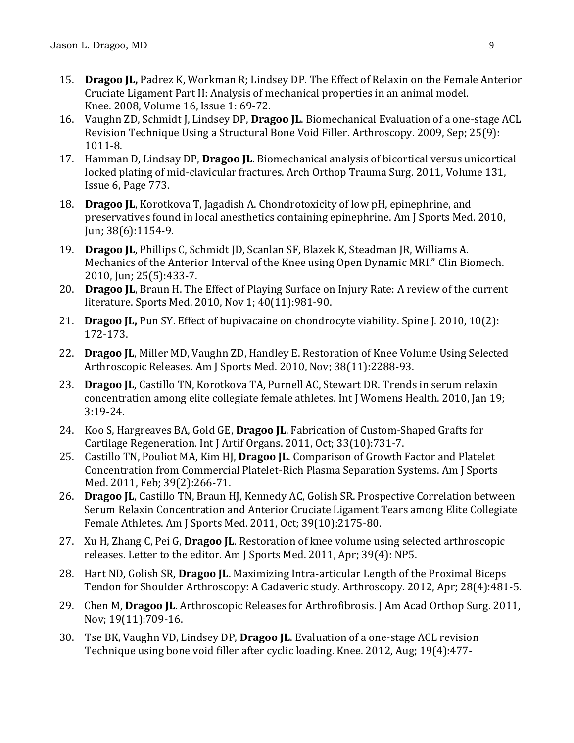- 15. **Dragoo JL,** Padrez K, Workman R; Lindsey DP. The Effect of Relaxin on the Female Anterior Cruciate Ligament Part II: Analysis of mechanical properties in an animal model. Knee. 2008, Volume 16, Issue 1: 69-72.
- 16. Vaughn ZD, Schmidt J, Lindsey DP, **Dragoo JL**. Biomechanical Evaluation of a one-stage ACL Revision Technique Using a Structural Bone Void Filler. Arthroscopy. 2009, Sep; 25(9): 1011-8.
- 17. Hamman D, Lindsay DP, **Dragoo JL**. Biomechanical analysis of bicortical versus unicortical locked plating of mid-clavicular fractures. [Arch Orthop Trauma Surg.](javascript:AL_get(this,%20) 2011, Volume 131, Issue 6, Page 773.
- 18. **Dragoo JL**, Korotkova T, Jagadish A. Chondrotoxicity of low pH, epinephrine, and preservatives found in local anesthetics containing epinephrine. Am J Sports Med. 2010, Jun; 38(6):1154-9.
- 19. **Dragoo JL**, Phillips C, Schmidt JD, Scanlan SF, Blazek K, Steadman JR, Williams A. Mechanics of the Anterior Interval of the Knee using Open Dynamic MRI." Clin Biomech. 2010, Jun; 25(5):433-7.
- 20. **Dragoo JL**, Braun H. The Effect of Playing Surface on Injury Rate: A review of the current literature. Sports Med. 2010, Nov 1; 40(11):981-90.
- 21. **Dragoo JL,** Pun SY. Effect of bupivacaine on chondrocyte viability. Spine J*.* 2010, 10(2): 172-173.
- 22. **Dragoo JL**, Miller MD, Vaughn ZD, Handley E. Restoration of Knee Volume Using Selected Arthroscopic Releases. Am J Sports Med. 2010, Nov; 38(11):2288-93.
- 23. **Dragoo JL**, Castillo TN, Korotkova TA, Purnell AC, Stewart DR. Trends in serum relaxin concentration among elite collegiate female athletes. Int J Womens Health. 2010, Jan 19; 3:19-24.
- 24. Koo S, Hargreaves BA, Gold GE, **Dragoo JL**. Fabrication of Custom-Shaped Grafts for Cartilage Regeneration. Int J Artif Organs. 2011, Oct; 33(10):731-7.
- 25. Castillo TN, Pouliot MA, Kim HJ, **Dragoo JL**. Comparison of Growth Factor and Platelet Concentration from Commercial Platelet-Rich Plasma Separation Systems. Am J Sports Med. 2011, Feb; 39(2):266-71.
- 26. **Dragoo JL**, Castillo TN, Braun HJ, Kennedy AC, Golish SR. Prospective Correlation between Serum Relaxin Concentration and Anterior Cruciate Ligament Tears among Elite Collegiate Female Athletes. Am J Sports Med. 2011, Oct; 39(10):2175-80.
- 27. Xu H, Zhang C, Pei G, **Dragoo JL**. Restoration of knee volume using selected arthroscopic releases. [Letter to the editor.](http://www.ncbi.nlm.nih.gov/pubmed/21460072) Am J Sports Med. 2011, Apr; 39(4): NP5.
- 28. Hart ND, Golish SR, **Dragoo JL**. Maximizing Intra-articular Length of the Proximal Biceps Tendon for Shoulder Arthroscopy: A Cadaveric study. Arthroscopy. 2012, Apr; 28(4):481-5.
- 29. Chen M, **Dragoo JL**. Arthroscopic Releases for Arthrofibrosis. J Am Acad Orthop Surg. 2011, Nov; 19(11):709-16.
- 30. Tse BK, Vaughn VD, Lindsey DP, **Dragoo JL**. Evaluation of a one-stage ACL revision Technique using bone void filler after cyclic loading. Knee. 2012, Aug; 19(4):477-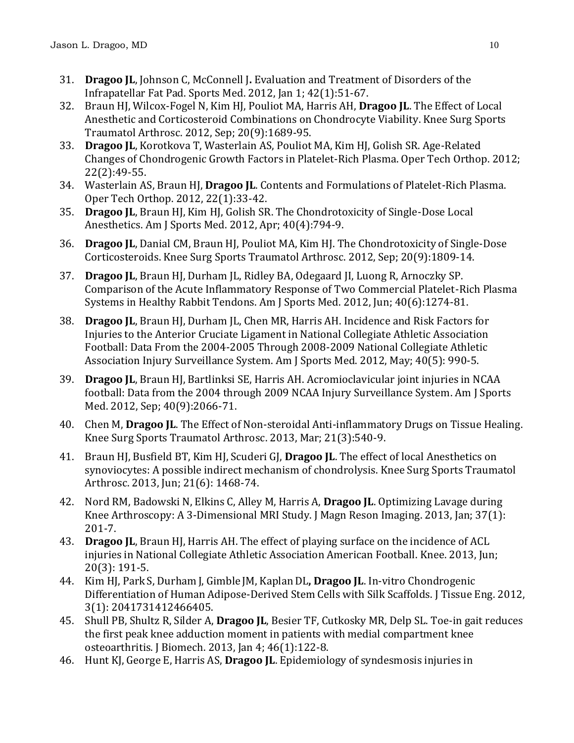- 31. **Dragoo JL**, Johnson C, McConnell J**.** Evaluation and Treatment of Disorders of the Infrapatellar Fat Pad. Sports Med. 2012, Jan 1; 42(1):51-67.
- 32. Braun HJ, Wilcox-Fogel N, Kim HJ, Pouliot MA, Harris AH, **Dragoo JL**. The Effect of Local Anesthetic and Corticosteroid Combinations on Chondrocyte Viability. Knee Surg Sports Traumatol Arthrosc. 2012, Sep; 20(9):1689-95.
- 33. **Dragoo JL**, Korotkova T, Wasterlain AS, Pouliot MA, Kim HJ, Golish SR. Age-Related Changes of Chondrogenic Growth Factors in Platelet-Rich Plasma. Oper Tech Orthop. 2012; 22(2):49-55.
- 34. Wasterlain AS, Braun HJ, **Dragoo JL**. Contents and Formulations of Platelet-Rich Plasma. Oper Tech Orthop. 2012, 22(1):33-42.
- 35. **Dragoo JL**, Braun HJ, Kim HJ, Golish SR. The Chondrotoxicity of Single-Dose Local Anesthetics. Am J Sports Med. 2012, Apr; 40(4):794-9.
- 36. **Dragoo JL**, Danial CM, Braun HJ, Pouliot MA, Kim HJ. [The Chondrotoxicity of Single-Dose](http://www.ncbi.nlm.nih.gov/pubmed/22186921)  [Corticosteroids.](http://www.ncbi.nlm.nih.gov/pubmed/22186921) Knee Surg Sports Traumatol Arthrosc. 2012, Sep; 20(9):1809-14.
- 37. **Dragoo JL**, Braun HJ, Durham JL, Ridley BA, Odegaard JI, Luong R, Arnoczky SP. [Comparison of the Acute Inflammatory Response of Two Commercial Platelet-Rich Plasma](http://www.ncbi.nlm.nih.gov/pubmed/22495144)  [Systems in Healthy Rabbit Tendons.](http://www.ncbi.nlm.nih.gov/pubmed/22495144) Am J Sports Med. 2012, Jun; 40(6):1274-81.
- 38. **Dragoo JL**, Braun HJ, Durham JL, Chen MR, Harris AH. [Incidence and Risk Factors for](http://www.ncbi.nlm.nih.gov/pubmed/22491794)  [Injuries to the Anterior Cruciate Ligament in National Collegiate Athletic Association](http://www.ncbi.nlm.nih.gov/pubmed/22491794)  [Football: Data From the 2004-2005 Through 2008-2009 National Collegiate Athletic](http://www.ncbi.nlm.nih.gov/pubmed/22491794)  [Association Injury Surveillance System.](http://www.ncbi.nlm.nih.gov/pubmed/22491794) Am J Sports Med. 2012, May; 40(5): 990-5.
- 39. **Dragoo JL**, Braun HJ, Bartlinksi SE, Harris AH. Acromioclavicular joint injuries in NCAA football: Data from the 2004 through 2009 NCAA Injury Surveillance System. Am J Sports Med. 2012, Sep; 40(9):2066-71.
- 40. Chen M, **Dragoo JL**. The Effect of Non-steroidal Anti-inflammatory Drugs on Tissue Healing. Knee Surg Sports Traumatol Arthrosc. 2013, Mar; 21(3):540-9.
- 41. Braun HJ, Busfield BT, Kim HJ, Scuderi GJ, **Dragoo JL**. The effect of local Anesthetics on synoviocytes: A possible indirect mechanism of chondrolysis. Knee Surg Sports Traumatol Arthrosc. 2013, Jun; 21(6): 1468-74.
- 42. Nord RM, Badowski N, Elkins C, Alley M, Harris A, **Dragoo JL**. Optimizing Lavage during Knee Arthroscopy: A 3-Dimensional MRI Study. J Magn Reson Imaging. 2013, Jan; 37(1): 201-7.
- 43. **[Dragoo](http://www.ncbi.nlm.nih.gov.laneproxy.stanford.edu/pubmed?term=Dragoo%20JL%5BAuthor%5D&cauthor=true&cauthor_uid=22920310) JL**, [Braun](http://www.ncbi.nlm.nih.gov.laneproxy.stanford.edu/pubmed?term=Braun%20HJ%5BAuthor%5D&cauthor=true&cauthor_uid=22920310) HJ, [Harris](http://www.ncbi.nlm.nih.gov.laneproxy.stanford.edu/pubmed?term=Harris%20AH%5BAuthor%5D&cauthor=true&cauthor_uid=22920310) AH. The effect of playing surface on the incidence of ACL injuries in National Collegiate Athletic Association American Football. Knee. 2013, Jun; 20(3): 191-5.
- 44. Kim HJ, Park S, Durham J, Gimble JM, KaplanDL**, Dragoo JL**. In-vitro Chondrogenic Differentiation of Human Adipose-Derived Stem Cells with Silk Scaffolds. J Tissue Eng. 2012, 3(1): 2041731412466405.
- 45. Shull PB, Shultz R, Silder A, **Dragoo JL**, Besier TF, Cutkosky MR, Delp SL. Toe-in gait reduces the first peak knee adduction moment in patients with medial compartment knee osteoarthritis. J Biomech. 2013, Jan 4; 46(1):122-8.
- 46. Hunt KJ, George E, Harris AS, **Dragoo JL**. Epidemiology of syndesmosis injuries in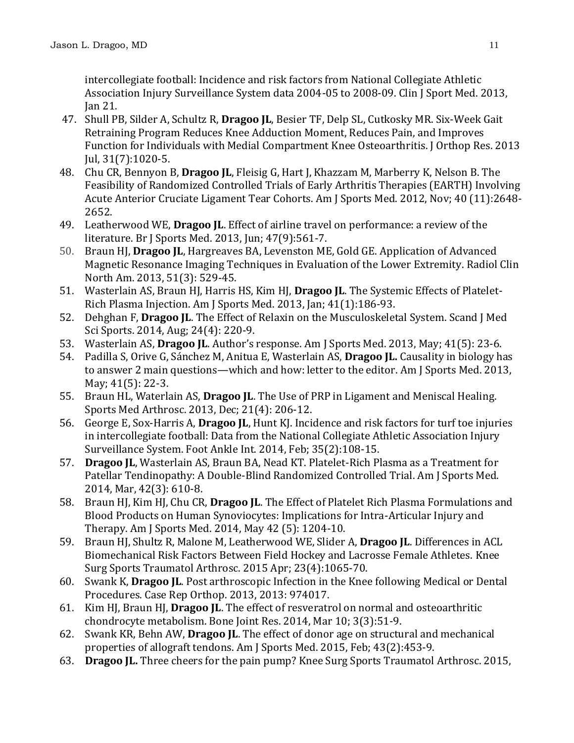intercollegiate football: Incidence and risk factors from National Collegiate Athletic Association Injury Surveillance System data 2004-05 to 2008-09. Clin J Sport Med. 2013, Jan 21.

- 47. Shull PB, Silder A, Schultz R, **Dragoo JL**, Besier TF, Delp SL, Cutkosky MR. Six-Week Gait Retraining Program Reduces Knee Adduction Moment, Reduces Pain, and Improves Function for Individuals with Medial Compartment Knee Osteoarthritis. J Orthop Res. 2013 Jul, 31(7):1020-5.
- 48. Chu CR, Bennyon B, **Dragoo JL**, Fleisig G, Hart J, Khazzam M, Marberry K, Nelson B. The Feasibility of Randomized Controlled Trials of Early Arthritis Therapies (EARTH) Involving Acute Anterior Cruciate Ligament Tear Cohorts. Am J Sports Med. 2012, Nov; 40 (11):2648- 2652.
- 49. Leatherwood WE, **Dragoo JL**. Effect of airline travel on performance: a review of the literature. Br J Sports Med. 2013, Jun; 47(9):561-7.
- 50. Braun HJ, **Dragoo JL**, Hargreaves BA, Levenston ME, Gold GE. Application of Advanced Magnetic Resonance Imaging Techniques in Evaluation of the Lower Extremity. Radiol Clin North Am. 2013, 51(3): 529-45.
- 51. Wasterlain AS, Braun HJ, Harris HS, Kim HJ, **Dragoo JL**. The Systemic Effects of Platelet-Rich Plasma Injection. Am J Sports Med. 2013, Jan; 41(1):186-93.
- 52. Dehghan F, **Dragoo JL**. The Effect of Relaxin on the Musculoskeletal System. Scand J Med Sci Sports. 2014, Aug; 24(4): 220-9.
- 53. Wasterlain AS, **Dragoo JL**. Author's response. Am J Sports Med. 2013, May; 41(5): 23-6.
- 54. Padilla S, Orive G, Sánchez M, Anitua E, Wasterlain AS, **Dragoo JL.** Causality in biology has to answer 2 main questions—which and how: letter to the editor. Am J Sports Med. 2013, May; 41(5): 22-3.
- 55. Braun HL, Waterlain AS, **Dragoo JL**. The Use of PRP in Ligament and Meniscal Healing. Sports Med Arthrosc. 2013, Dec; 21(4): 206-12.
- 56. George E, Sox-Harris A, **Dragoo JL**, Hunt KJ. Incidence and risk factors for turf toe injuries in intercollegiate football: Data from the National Collegiate Athletic Association Injury Surveillance System. Foot Ankle Int. 2014, Feb; 35(2):108-15.
- 57. **Dragoo JL**, Wasterlain AS, Braun BA, Nead KT. Platelet-Rich Plasma as a Treatment for Patellar Tendinopathy: A Double-Blind Randomized Controlled Trial. Am J Sports Med. 2014, Mar, 42(3): 610-8.
- 58. Braun HJ, Kim HJ, Chu CR, **Dragoo JL**. The Effect of Platelet Rich Plasma Formulations and Blood Products on Human Synoviocytes: Implications for Intra-Articular Injury and Therapy. Am J Sports Med. 2014, May 42 (5): 1204-10.
- 59. Braun HJ, Shultz R, Malone M, Leatherwood WE, Slider A, **Dragoo JL**. Differences in ACL Biomechanical Risk Factors Between Field Hockey and Lacrosse Female Athletes. Knee Surg Sports Traumatol Arthrosc. 2015 Apr; 23(4):1065-70.
- 60. Swank K, **Dragoo JL**. Post arthroscopic Infection in the Knee following Medical or Dental Procedures. Case Rep Orthop. 2013, 2013: 974017.
- 61. Kim HJ, Braun HJ, **Dragoo JL**. [The effect of resveratrol on normal and osteoarthritic](http://www-ncbi-nlm-nih-gov.laneproxy.stanford.edu/pubmed/24615710)  [chondrocyte metabolism.](http://www-ncbi-nlm-nih-gov.laneproxy.stanford.edu/pubmed/24615710) Bone Joint Res. 2014, Mar 10; 3(3):51-9.
- 62. Swank KR, Behn AW, **Dragoo JL**. [The effect of donor age on structural and mechanical](http://www-ncbi-nlm-nih-gov.laneproxy.stanford.edu/pubmed/25404616)  [properties of allograft tendons.](http://www-ncbi-nlm-nih-gov.laneproxy.stanford.edu/pubmed/25404616) Am J Sports Med. 2015, Feb; 43(2):453-9.
- 63. **Dragoo JL.** [Three cheers for the pain pump?](http://www-ncbi-nlm-nih-gov.laneproxy.stanford.edu/pubmed/25649730) Knee Surg Sports Traumatol Arthrosc. 2015,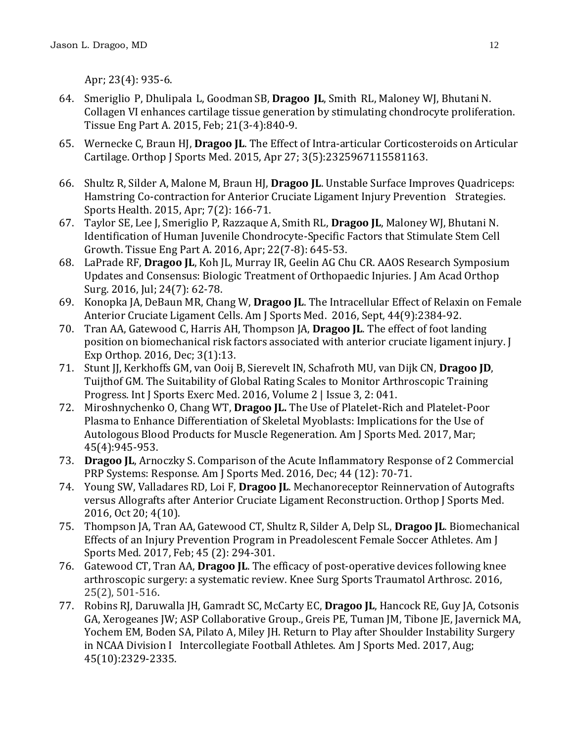Apr; 23(4): 935-6.

- 64. Smeriglio P, Dhulipala L, Goodman SB, **Dragoo JL**, Smith RL, Maloney WJ, BhutaniN. [Collagen VI enhances cartilage tissue generation by stimulating chondrocyte proliferation.](http://www-ncbi-nlm-nih-gov.laneproxy.stanford.edu/pubmed/25257043) Tissue Eng Part A. 2015, Feb; 21(3-4):840-9.
- 65. Wernecke C, Braun HJ, **Dragoo JL**. The Effect of Intra-articular Corticosteroids on Articular Cartilage. Orthop J Sports Med. 2015, Apr 27; 3(5):2325967115581163.
- 66. Shultz R, Silder A, Malone M, Braun HJ, **Dragoo JL**. Unstable Surface Improves Quadriceps: Hamstring Co-contraction for Anterior Cruciate Ligament Injury Prevention Strategies. Sports Health. 2015, Apr; 7(2): 166-71.
- 67. Taylor SE, Lee J, Smeriglio P, Razzaque A, Smith RL, **Dragoo JL**, Maloney WJ, Bhutani N. [Identification of Human Juvenile Chondrocyte-Specific Factors that Stimulate Stem Cell](http://www.ncbi.nlm.nih.gov/pubmed/26955889)  [Growth.](http://www.ncbi.nlm.nih.gov/pubmed/26955889) Tissue Eng Part A. 2016, Apr; 22(7-8): 645-53.
- 68. LaPrade RF, **Dragoo JL**, Koh JL, Murray IR, Geelin AG Chu CR. AAOS Research Symposium Updates and Consensus: Biologic Treatment of Orthopaedic Injuries. [J Am Acad Orthop](https://www-ncbi-nlm-nih-gov.laneproxy.stanford.edu/pubmed/?term=LaPrade+RF%2C+Dragoo+JL%2C+Koh+JL%2C+Murray+IR%2C+Geelin+AG+Chu+CR.)  [Surg.](https://www-ncbi-nlm-nih-gov.laneproxy.stanford.edu/pubmed/?term=LaPrade+RF%2C+Dragoo+JL%2C+Koh+JL%2C+Murray+IR%2C+Geelin+AG+Chu+CR.) 2016, Jul; 24(7): 62-78.
- 69. Konopka JA, DeBaun MR, Chang W, **Dragoo JL**. The Intracellular Effect of Relaxin on Female Anterior Cruciate Ligament Cells. Am J Sports Med. 2016, Sept, 44(9):2384-92.
- 70. Tran AA, Gatewood C, Harris AH, Thompson JA, **Dragoo JL**. The effect of foot landing position on biomechanical risk factors associated with anterior cruciate ligament injury. J Exp Orthop. 2016, Dec; 3(1):13.
- 71. Stunt JJ, Kerkhoffs GM, van Ooij B, Sierevelt IN, Schafroth MU, van Dijk CN, **Dragoo JD**, Tuijthof GM. The Suitability of Global Rating Scales to Monitor Arthroscopic Training Progress. Int J Sports Exerc Med. 2016, Volume 2 | Issue 3, 2: 041.
- 72. Miroshnychenko O, Chang WT, **Dragoo JL.** [The Use of Platelet-Rich and Platelet-Poor](https://www-ncbi-nlm-nih-gov.laneproxy.stanford.edu/pubmed/28027451)  [Plasma to Enhance Differentiation of Skeletal Myoblasts:](https://www-ncbi-nlm-nih-gov.laneproxy.stanford.edu/pubmed/28027451) Implications for the Use of Autologous Blood Products for Muscle Regeneration. Am J Sports Med. 2017, Mar; 45(4):945-953.
- 73. **Dragoo JL**, Arnoczky S. [Comparison of the Acute Inflammatory Response of 2 Commercial](https://www-ncbi-nlm-nih-gov.laneproxy.stanford.edu/pubmed/27903574)  [PRP Systems: Response.](https://www-ncbi-nlm-nih-gov.laneproxy.stanford.edu/pubmed/27903574) Am J Sports Med. 2016, Dec; 44 (12): 70-71.
- 74. Young SW, Valladares RD, Loi F, **Dragoo JL**. [Mechanoreceptor Reinnervation of Autografts](https://www-ncbi-nlm-nih-gov.laneproxy.stanford.edu/pubmed/27803939)  versus Allografts after [Anterior Cruciate Ligament Reconstruction.](https://www-ncbi-nlm-nih-gov.laneproxy.stanford.edu/pubmed/27803939) Orthop J Sports Med. 2016, Oct 20; 4(10).
- 75. Thompson JA, Tran AA, Gatewood CT, Shultz R, Silder A, Delp SL, **Dragoo JL**. [Biomechanical](https://www-ncbi-nlm-nih-gov.laneproxy.stanford.edu/pubmed/27793803)  [Effects of an Injury Prevention Program in Preadolescent Female Soccer Athletes.](https://www-ncbi-nlm-nih-gov.laneproxy.stanford.edu/pubmed/27793803) Am J Sports Med. 2017, Feb; 45 (2): 294-301.
- 76. Gatewood CT, Tran AA, **Dragoo JL**. [The efficacy of post-operative devices following knee](https://www-ncbi-nlm-nih-gov.laneproxy.stanford.edu/pubmed/27695905)  [arthroscopic surgery: a systematic review.](https://www-ncbi-nlm-nih-gov.laneproxy.stanford.edu/pubmed/27695905) Knee Surg Sports Traumatol Arthrosc. 2016, 25(2), 501-516.
- 77. Robins RJ, Daruwalla JH, Gamradt SC, McCarty EC, **Dragoo JL**, Hancock RE, Guy JA, Cotsonis GA, Xerogeanes JW; ASP Collaborative Group., Greis PE, Tuman JM, Tibone JE, Javernick MA, Yochem EM, Boden SA, Pilato A, Miley JH. Return to Play after Shoulder Instability Surgery in NCAA Division I Intercollegiate Football Athletes. Am J Sports Med. 2017, Aug; 45(10):2329-2335.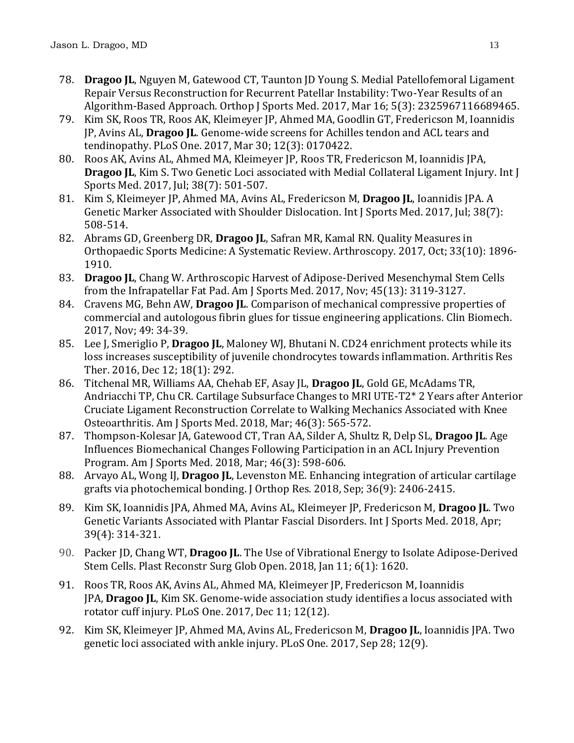- 78. **Dragoo JL**, Nguyen M, Gatewood CT, Taunton JD Young S. Medial Patellofemoral Ligament Repair Versus Reconstruction for Recurrent Patellar Instability: Two-Year Results of an Algorithm-Based Approach. Orthop J Sports Med. 2017, Mar 16; 5(3): 2325967116689465.
- 79. Kim SK, Roos TR, Roos AK, Kleimeyer JP, Ahmed MA, Goodlin GT, Fredericson M, Ioannidis JP, Avins AL, **Dragoo JL**. Genome-wide screens for Achilles tendon and ACL tears and tendinopathy. PLoS One. 2017, Mar 30; 12(3): 0170422.
- 80. Roos AK, Avins AL, Ahmed MA, Kleimeyer JP, Roos TR, Fredericson M, Ioannidis JPA, **Dragoo JL**, Kim S. Two Genetic Loci associated with Medial Collateral Ligament Injury. Int J Sports Med. 2017, Jul; 38(7): 501-507.
- 81. Kim S, Kleimeyer JP, Ahmed MA, Avins AL, Fredericson M, **Dragoo JL**, Ioannidis JPA. [A](https://www.ncbi.nlm.nih.gov/pubmed/28521375)  [Genetic Marker Associated with Shoulder Dislocation.](https://www.ncbi.nlm.nih.gov/pubmed/28521375) Int J Sports Med. 2017, Jul; 38(7): 508-514.
- 82. Abrams GD, Greenberg DR, **Dragoo JL**, Safran MR, Kamal RN. [Quality Measures in](https://www-ncbi-nlm-nih-gov.laneproxy.stanford.edu/pubmed/28655476)  [Orthopaedic Sports Medicine: A](https://www-ncbi-nlm-nih-gov.laneproxy.stanford.edu/pubmed/28655476) Systematic Review. Arthroscopy. 2017, Oct; 33(10): 1896- 1910.
- 83. **Dragoo JL**, Chang W. [Arthroscopic Harvest of Adipose-Derived Mesenchymal Stem Cells](https://www-ncbi-nlm-nih-gov.laneproxy.stanford.edu/pubmed/28816507)  from [the Infrapatellar Fat Pad.](https://www-ncbi-nlm-nih-gov.laneproxy.stanford.edu/pubmed/28816507) Am J Sports Med. 2017, Nov; 45(13): 3119-3127.
- 84. Cravens MG, Behn AW, **Dragoo JL**[. Comparison of mechanical compressive properties of](https://www-ncbi-nlm-nih-gov.laneproxy.stanford.edu/pubmed/28863319)  [commercial and autologous fibrin glues for tissue engineering applications.](https://www-ncbi-nlm-nih-gov.laneproxy.stanford.edu/pubmed/28863319) Clin Biomech. 2017, Nov; 49: 34-39.
- 85. Lee J, Smeriglio P, **Dragoo JL**, Maloney WJ, Bhutani N[. CD24 enrichment protects while its](https://www.ncbi.nlm.nih.gov/pubmed/27955675)  [loss increases susceptibility of juvenile chondrocytes towards inflammation.](https://www.ncbi.nlm.nih.gov/pubmed/27955675) Arthritis Res Ther. 2016, Dec 12; 18(1): 292.
- 86. Titchenal MR, Williams AA, Chehab EF, Asay JL, **Dragoo JL**, Gold GE, McAdams TR, Andriacchi TP, Chu CR. Cartilage Subsurface Changes to MRI UTE-T2\* 2 Years after Anterior Cruciate Ligament Reconstruction Correlate to Walking Mechanics Associated with Knee Osteoarthritis. Am J Sports Med. 2018, Mar; 46(3): 565-572.
- 87. Thompson-Kolesar JA, Gatewood CT, Tran AA, Silder A, Shultz R, Delp SL, **Dragoo JL**. Age Influences Biomechanical Changes Following Participation in an ACL Injury Prevention Program. Am J Sports Med. 2018, Mar; 46(3): 598-606.
- 88. Arvayo AL, Wong IJ, **Dragoo JL**, Levenston ME. Enhancing integration of articular cartilage grafts via photochemical bonding. J Orthop Res. 2018, Sep; 36(9): 2406-2415.
- 89. Kim SK, Ioannidis JPA, Ahmed MA, Avins AL, Kleimeyer JP, Fredericson M, **Dragoo JL**. [Two](https://www-ncbi-nlm-nih-gov.laneproxy.stanford.edu/pubmed/29534260)  [Genetic Variants Associated with Plantar Fascial Disorders.](https://www-ncbi-nlm-nih-gov.laneproxy.stanford.edu/pubmed/29534260) Int J Sports Med. 2018, Apr; 39(4): 314-321.
- 90. Packer JD, Chang WT, **Dragoo JL**. [The Use of Vibrational Energy to Isolate Adipose-Derived](https://www-ncbi-nlm-nih-gov.laneproxy.stanford.edu/pubmed/29464159)  [Stem Cells.](https://www-ncbi-nlm-nih-gov.laneproxy.stanford.edu/pubmed/29464159) Plast Reconstr Surg Glob Open. 2018, Jan 11; 6(1): 1620.
- 91. Roos TR, Roos AK, Avins AL, Ahmed MA, Kleimeyer JP, Fredericson M, Ioannidis JPA, **Dragoo JL**, Kim SK. [Genome-wide association study identifies a locus associated with](https://www-ncbi-nlm-nih-gov.laneproxy.stanford.edu/pubmed/29228018)  [rotator cuff injury.](https://www-ncbi-nlm-nih-gov.laneproxy.stanford.edu/pubmed/29228018) PLoS One. 2017, Dec 11; 12(12).
- 92. Kim SK, Kleimeyer JP, Ahmed MA, Avins AL, Fredericson M, **Dragoo JL**, Ioannidis JPA. [Two](https://www-ncbi-nlm-nih-gov.laneproxy.stanford.edu/pubmed/28957384)  [genetic loci associated with ankle injury.](https://www-ncbi-nlm-nih-gov.laneproxy.stanford.edu/pubmed/28957384) PLoS One. 2017, Sep 28; 12(9).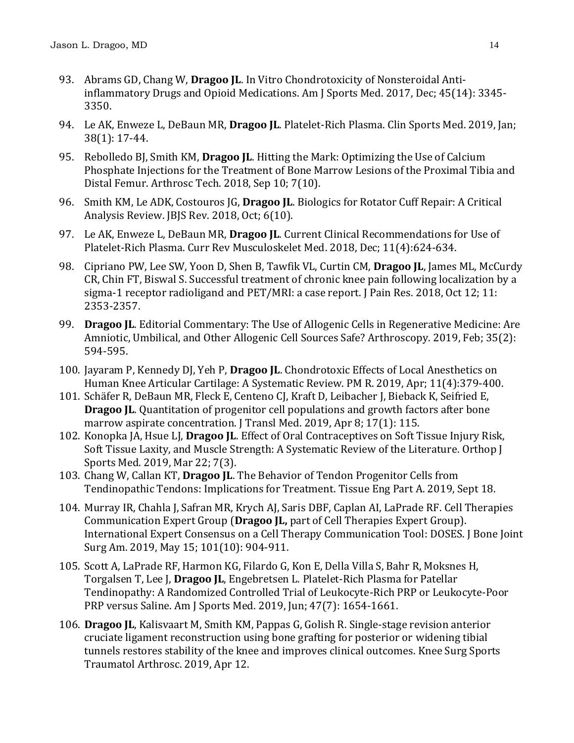- 93. Abrams GD, Chang W, **Dragoo JL**. [In Vitro Chondrotoxicity of Nonsteroidal Anti](https://www-ncbi-nlm-nih-gov.laneproxy.stanford.edu/pubmed/28903012)[inflammatory Drugs and Opioid Medications.](https://www-ncbi-nlm-nih-gov.laneproxy.stanford.edu/pubmed/28903012) Am J Sports Med. 2017, Dec; 45(14): 3345- 3350.
- 94. Le AK, Enweze L, DeBaun MR, **Dragoo JL**. [Platelet-Rich Plasma.](https://www.ncbi.nlm.nih.gov/pubmed/30466721) Clin Sports Med. 2019, Jan; 38(1): 17-44.
- 95. Rebolledo BJ, Smith KM, **Dragoo JL**. [Hitting the Mark: Optimizing the Use of Calcium](https://www.ncbi.nlm.nih.gov/pubmed/30377580)  [Phosphate Injections for the Treatment of Bone Marrow Lesions of the Proximal Tibia and](https://www.ncbi.nlm.nih.gov/pubmed/30377580)  Distal [Femur.](https://www.ncbi.nlm.nih.gov/pubmed/30377580) Arthrosc Tech. 2018, Sep 10; 7(10).
- 96. Smith KM, Le ADK, Costouros JG, **Dragoo JL**. [Biologics for Rotator Cuff Repair: A Critical](https://www.ncbi.nlm.nih.gov/pubmed/30362970)  [Analysis Review.](https://www.ncbi.nlm.nih.gov/pubmed/30362970) JBJS Rev. 2018, Oct; 6(10).
- 97. Le AK, Enweze L, DeBaun MR, **Dragoo JL**. [Current Clinical Recommendations for Use of](https://www.ncbi.nlm.nih.gov/pubmed/30353479)  [Platelet-Rich Plasma.](https://www.ncbi.nlm.nih.gov/pubmed/30353479) Curr Rev Musculoskelet Med. 2018, Dec; 11(4):624-634.
- 98. Cipriano PW, Lee SW, Yoon D, Shen B, Tawfik VL, Curtin CM, **Dragoo JL**, James ML, McCurdy CR, Chin FT, Biswal S. [Successful treatment of chronic knee pain following localization by a](https://www.ncbi.nlm.nih.gov/pubmed/30349360)  [sigma-1 receptor radioligand and PET/MRI: a case report.](https://www.ncbi.nlm.nih.gov/pubmed/30349360) J Pain Res. 2018, Oct 12; 11: 2353-2357.
- 99. **Dragoo JL**. [Editorial Commentary: The Use of Allogenic Cells in Regenerative Medicine: Are](https://www-ncbi-nlm-nih-gov.laneproxy.stanford.edu/pubmed/30712634)  [Amniotic, Umbilical, and Other Allogenic Cell Sources Safe?](https://www-ncbi-nlm-nih-gov.laneproxy.stanford.edu/pubmed/30712634) Arthroscopy. 2019, Feb; 35(2): 594-595.
- 100. Jayaram P, Kennedy DJ, Yeh P, **Dragoo JL**. [Chondrotoxic Effects of Local Anesthetics on](https://www-ncbi-nlm-nih-gov.laneproxy.stanford.edu/pubmed/30676699)  [Human Knee Articular Cartilage: A Systematic Review.](https://www-ncbi-nlm-nih-gov.laneproxy.stanford.edu/pubmed/30676699) PM R. 2019, Apr; 11(4):379-400.
- 101. Schäfer R, DeBaun MR, Fleck E, Centeno CJ, Kraft D, Leibacher J, Bieback K, Seifried E, **Dragoo IL.** Quantitation of progenitor cell populations and growth factors after bone [marrow aspirate concentration.](https://www-ncbi-nlm-nih-gov.laneproxy.stanford.edu/pubmed/30961655) J Transl Med. 2019, Apr 8; 17(1): 115.
- 102. Konopka JA, Hsue LJ, **Dragoo JL**. Effect [of Oral Contraceptives on Soft Tissue Injury Risk,](https://www-ncbi-nlm-nih-gov.laneproxy.stanford.edu/pubmed/30923726)  [Soft Tissue Laxity, and Muscle Strength: A Systematic Review of the Literature.](https://www-ncbi-nlm-nih-gov.laneproxy.stanford.edu/pubmed/30923726) Orthop J Sports Med. 2019, Mar 22; 7(3).
- 103. Chang W, Callan KT, **Dragoo JL**. [The Behavior of Tendon Progenitor Cells from](https://www-ncbi-nlm-nih-gov.laneproxy.stanford.edu/pubmed/31111771)  [Tendinopathic Tendons: Implications for Treatment.](https://www-ncbi-nlm-nih-gov.laneproxy.stanford.edu/pubmed/31111771) Tissue Eng Part A. 2019, Sept 18.
- 104. Murray IR, Chahla J, Safran MR, Krych AJ, Saris DBF, Caplan AI, LaPrade RF. Cell Therapies Communication Expert Group (**Dragoo JL,** part of Cell Therapies Expert Group). [International Expert Consensus on a Cell Therapy Communication Tool: DOSES.](https://www-ncbi-nlm-nih-gov.laneproxy.stanford.edu/pubmed/31094982) J Bone Joint Surg Am. 2019, May 15; 101(10): 904-911.
- 105. Scott A, LaPrade RF, Harmon KG, Filardo G, Kon E, Della Villa S, Bahr R, Moksnes H, Torgalsen T, Lee J, **Dragoo JL**, Engebretsen L. [Platelet-Rich Plasma for Patellar](https://www-ncbi-nlm-nih-gov.laneproxy.stanford.edu/pubmed/31038979)  [Tendinopathy: A Randomized Controlled Trial of Leukocyte-Rich PRP or Leukocyte-Poor](https://www-ncbi-nlm-nih-gov.laneproxy.stanford.edu/pubmed/31038979)  [PRP versus](https://www-ncbi-nlm-nih-gov.laneproxy.stanford.edu/pubmed/31038979) Saline. Am J Sports Med. 2019, Jun; 47(7): 1654-1661.
- 106. **Dragoo JL**, Kalisvaart M, Smith KM, Pappas G, Golish R. [Single-stage revision anterior](https://www-ncbi-nlm-nih-gov.laneproxy.stanford.edu/pubmed/30980118)  [cruciate ligament reconstruction using bone grafting for posterior or widening tibial](https://www-ncbi-nlm-nih-gov.laneproxy.stanford.edu/pubmed/30980118)  [tunnels restores stability of the knee and improves clinical outcomes.](https://www-ncbi-nlm-nih-gov.laneproxy.stanford.edu/pubmed/30980118) Knee Surg Sports Traumatol Arthrosc. 2019, Apr 12.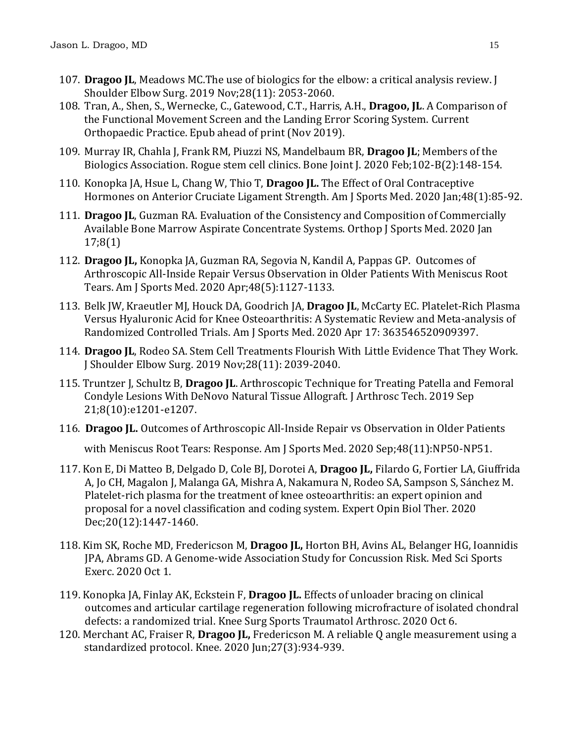- 107. **Dragoo JL**, Meadows MC[.The use of biologics for the elbow: a critical analysis review.](https://www.ncbi.nlm.nih.gov/pubmed/31585783) J Shoulder Elbow Surg. 2019 Nov;28(11): 2053-2060.
- 108. Tran, A., Shen, S., Wernecke, C., Gatewood, C.T., Harris, A.H., **Dragoo, JL**. A Comparison of the Functional Movement Screen and the Landing Error Scoring System. Current Orthopaedic Practice. Epub ahead of print (Nov 2019).
- 109. Murray IR, Chahla J, Frank RM, Piuzzi NS, Mandelbaum BR, **Dragoo JL**; Members of the Biologics Association. [Rogue stem cell clinics.](https://www.ncbi.nlm.nih.gov/pubmed/32009438) Bone Joint J. 2020 Feb;102-B(2):148-154.
- 110. Konopka JA, Hsue L, Chang W, Thio T, **Dragoo JL.** [The Effect of Oral Contraceptive](https://www.ncbi.nlm.nih.gov/pubmed/31765227)  [Hormones on Anterior Cruciate Ligament Strength.](https://www.ncbi.nlm.nih.gov/pubmed/31765227) Am J Sports Med. 2020 Jan;48(1):85-92.
- 111. **Dragoo JL**, Guzman RA. [Evaluation of the Consistency and Composition of Commercially](https://www.ncbi.nlm.nih.gov/pubmed/32010732)  [Available Bone Marrow Aspirate Concentrate Systems.](https://www.ncbi.nlm.nih.gov/pubmed/32010732) Orthop J Sports Med. 2020 Jan 17;8(1)
- 112. **Dragoo JL,** Konopka JA, Guzman RA, Segovia N, Kandil A, Pappas GP. [Outcomes of](https://www.ncbi.nlm.nih.gov/pubmed/32182103)  [Arthroscopic All-Inside Repair Versus Observation in Older Patients With Meniscus Root](https://www.ncbi.nlm.nih.gov/pubmed/32182103)  [Tears.](https://www.ncbi.nlm.nih.gov/pubmed/32182103) Am J Sports Med. 2020 Apr;48(5):1127-1133.
- 113. Belk JW, Kraeutler MJ, Houck DA, Goodrich JA, **Dragoo JL**, McCarty EC. [Platelet-Rich Plasma](https://www.ncbi.nlm.nih.gov/pubmed/32302218)  [Versus Hyaluronic Acid for Knee Osteoarthritis: A Systematic Review and Meta-analysis of](https://www.ncbi.nlm.nih.gov/pubmed/32302218)  [Randomized Controlled Trials.](https://www.ncbi.nlm.nih.gov/pubmed/32302218) Am J Sports Med. 2020 Apr 17: 363546520909397.
- 114. **Dragoo JL**[, Rodeo SA. Stem Cell Treatments Flourish With](https://www.ncbi.nlm.nih.gov/pubmed/31585782) Little Evidence That They Work. J Shoulder Elbow Surg. 2019 Nov;28(11): 2039-2040.
- 115. Truntzer J, Schultz B, **Dragoo JL**. [Arthroscopic Technique for Treating Patella and Femoral](https://pubmed.ncbi.nlm.nih.gov/31921596/)  [Condyle Lesions With DeNovo Natural Tissue Allograft.](https://pubmed.ncbi.nlm.nih.gov/31921596/) J Arthrosc Tech. 2019 Sep 21;8(10):e1201-e1207.
- 116. **Dragoo JL.** [Outcomes of Arthroscopic All-Inside Repair vs Observation in Older Patients](https://pubmed.ncbi.nlm.nih.gov/32870044/)

with [Meniscus Root Tears: Response.](https://pubmed.ncbi.nlm.nih.gov/32870044/) Am J Sports Med. 2020 Sep;48(11):NP50-NP51.

- 117. Kon E, Di Matteo B, Delgado D, Cole BJ, Dorotei A, **Dragoo JL,** Filardo G, Fortier LA, Giuffrida A, Jo CH, Magalon J, Malanga GA, Mishra A, Nakamura N, Rodeo SA, Sampson S, Sánchez M. [Platelet-rich plasma for the treatment of knee osteoarthritis: an expert opinion and](https://pubmed.ncbi.nlm.nih.gov/32692595/)  [proposal for a novel classification and coding system.](https://pubmed.ncbi.nlm.nih.gov/32692595/) Expert Opin Biol Ther. 2020 Dec;20(12):1447-1460.
- 118. Kim SK, Roche MD, Fredericson M, **Dragoo JL,** Horton BH, Avins AL, Belanger HG, Ioannidis JPA, Abrams GD. [A Genome-wide Association Study for Concussion Risk.](https://pubmed.ncbi.nlm.nih.gov/33017352/) Med Sci Sports Exerc. 2020 Oct 1.
- 119. Konopka JA, Finlay AK, Eckstein F, **Dragoo JL.** [Effects of unloader bracing on clinical](https://pubmed.ncbi.nlm.nih.gov/33025056/)  outcomes and articular cartilage [regeneration following microfracture of isolated chondral](https://pubmed.ncbi.nlm.nih.gov/33025056/)  [defects: a randomized trial.](https://pubmed.ncbi.nlm.nih.gov/33025056/) Knee Surg Sports Traumatol Arthrosc. 2020 Oct 6.
- 120. Merchant AC, Fraiser R, **Dragoo JL,** Fredericson M. [A reliable Q angle measurement using a](https://pubmed.ncbi.nlm.nih.gov/32295725/)  [standardized protocol.](https://pubmed.ncbi.nlm.nih.gov/32295725/) Knee. 2020 Jun;27(3):934-939.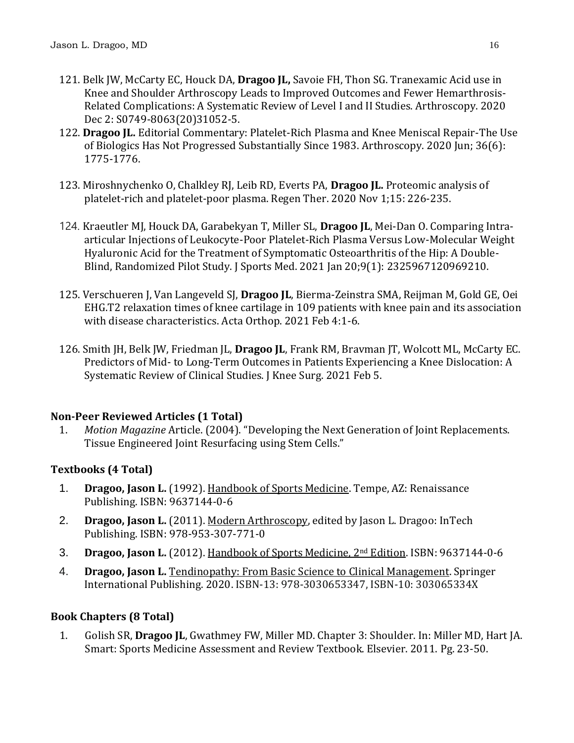- 121. Belk JW, McCarty EC, Houck DA, **Dragoo JL,** Savoie FH, Thon SG. [Tranexamic Acid use in](https://pubmed.ncbi.nlm.nih.gov/33278534/)  Knee and Shoulder [Arthroscopy Leads to Improved Outcomes and Fewer Hemarthrosis-](https://pubmed.ncbi.nlm.nih.gov/33278534/)[Related Complications: A Systematic Review of Level I and II Studies.](https://pubmed.ncbi.nlm.nih.gov/33278534/) Arthroscopy. 2020 Dec 2: S0749-8063(20)31052-5.
- 122. **Dragoo JL.** [Editorial Commentary: Platelet-Rich Plasma and Knee Meniscal Repair-The Use](https://pubmed.ncbi.nlm.nih.gov/32503782/)  [of Biologics Has Not Progressed Substantially Since 1983.](https://pubmed.ncbi.nlm.nih.gov/32503782/) Arthroscopy. 2020 Jun; 36(6): 1775-1776.
- 123. Miroshnychenko O, Chalkley RJ, Leib RD, Everts PA, **Dragoo JL.** [Proteomic analysis of](https://pubmed.ncbi.nlm.nih.gov/33426223/)  [platelet-rich and platelet-poor plasma.](https://pubmed.ncbi.nlm.nih.gov/33426223/) Regen Ther. 2020 Nov 1;15: 226-235.
- 124. Kraeutler MJ, Houck DA, Garabekyan T, Miller SL, **Dragoo JL**, Mei-Dan O. [Comparing Intra](https://pubmed.ncbi.nlm.nih.gov/33786329/)[articular Injections of Leukocyte-Poor Platelet-Rich Plasma Versus Low-Molecular Weight](https://pubmed.ncbi.nlm.nih.gov/33786329/)  [Hyaluronic Acid for the Treatment of Symptomatic Osteoarthritis of the Hip: A Double-](https://pubmed.ncbi.nlm.nih.gov/33786329/)[Blind, Randomized Pilot Study.](https://pubmed.ncbi.nlm.nih.gov/33786329/) J Sports Med. 2021 Jan 20;9(1): 2325967120969210.
- 125. Verschueren J, Van Langeveld SJ, **Dragoo JL**, Bierma-Zeinstra SMA, Reijman M, Gold GE, Oei EHG[.T2 relaxation times of knee cartilage in 109 patients with knee pain and its association](https://pubmed.ncbi.nlm.nih.gov/33538221/)  [with disease characteristics.](https://pubmed.ncbi.nlm.nih.gov/33538221/) Acta Orthop. 2021 Feb 4:1-6.
- 126. Smith JH, Belk JW, Friedman JL, **Dragoo JL**, Frank RM, Bravman JT, Wolcott ML, McCarty EC. Predictors of Mid- [to Long-Term Outcomes in Patients Experiencing a Knee Dislocation: A](https://pubmed.ncbi.nlm.nih.gov/33545729/)  [Systematic Review of Clinical Studies.](https://pubmed.ncbi.nlm.nih.gov/33545729/) J Knee Surg. 2021 Feb 5.

## **Non-Peer Reviewed Articles (1 Total)**

1. *Motion Magazine* Article. (2004). "Developing the Next Generation of Joint Replacements. Tissue Engineered Joint Resurfacing using Stem Cells."

## **Textbooks (4 Total)**

- 1. **Dragoo, Jason L.** (1992). Handbook of Sports Medicine. Tempe, AZ: Renaissance Publishing. ISBN: 9637144-0-6
- 2. **Dragoo, Jason L.** (2011). Modern Arthroscopy, edited by Jason L. Dragoo: InTech Publishing. ISBN: 978-953-307-771-0
- 3. **Dragoo, Jason L.** (2012). Handbook of Sports Medicine, 2nd Edition. ISBN: 9637144-0-6
- 4. **Dragoo, Jason L.** Tendinopathy: From Basic Science to Clinical Management. Springer International Publishing. 2020. ISBN-13: 978-3030653347, ISBN-10: 303065334X

## **Book Chapters (8 Total)**

1. Golish SR, **Dragoo JL**, Gwathmey FW, Miller MD. Chapter 3: Shoulder. In: Miller MD, Hart JA. Smart: Sports Medicine Assessment and Review Textbook. Elsevier. 2011. Pg. 23-50.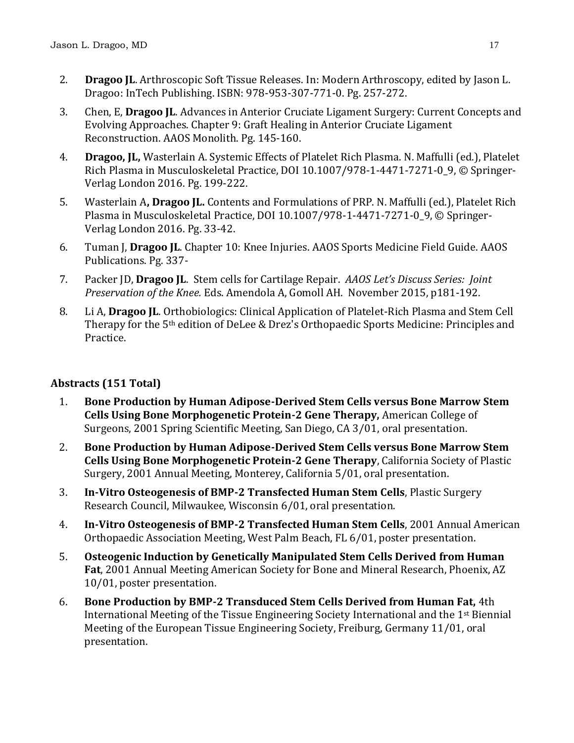- 2. **Dragoo JL**. Arthroscopic Soft Tissue Releases. In: Modern Arthroscopy, edited by Jason L. Dragoo: InTech Publishing. ISBN: 978-953-307-771-0. Pg. 257-272.
- 3. Chen, E, **Dragoo JL**. Advances in Anterior Cruciate Ligament Surgery: Current Concepts and Evolving Approaches. Chapter 9: Graft Healing in Anterior Cruciate Ligament Reconstruction. AAOS Monolith. Pg. 145-160.
- 4. **Dragoo, JL,** Wasterlain A. Systemic Effects of Platelet Rich Plasma. N. Maffulli (ed.), Platelet Rich Plasma in Musculoskeletal Practice, DOI 10.1007/978-1-4471-7271-0\_9, © Springer-Verlag London 2016. Pg. 199-222.
- 5. Wasterlain A**, Dragoo JL.** Contents and Formulations of PRP. N. Maffulli (ed.), Platelet Rich Plasma in Musculoskeletal Practice, DOI 10.1007/978-1-4471-7271-0\_9, © Springer-Verlag London 2016. Pg. 33-42.
- 6. Tuman J, **Dragoo JL**. Chapter 10: Knee Injuries. AAOS Sports Medicine Field Guide. AAOS Publications. Pg. 337-
- 7. Packer JD, **Dragoo JL**. Stem cells for Cartilage Repair. *AAOS Let's Discuss Series: Joint Preservation of the Knee.* Eds. Amendola A, Gomoll AH. November 2015, p181-192.
- 8. Li A, **Dragoo JL**. Orthobiologics: Clinical Application of Platelet-Rich Plasma and Stem Cell Therapy for the 5th edition of DeLee & Drez's Orthopaedic Sports Medicine: Principles and Practice.

## **Abstracts (151 Total)**

- 1. **Bone Production by Human Adipose-Derived Stem Cells versus Bone Marrow Stem Cells Using Bone Morphogenetic Protein-2 Gene Therapy,** American College of Surgeons, 2001 Spring Scientific Meeting, San Diego, CA 3/01, oral presentation.
- 2. **Bone Production by Human Adipose-Derived Stem Cells versus Bone Marrow Stem Cells Using Bone Morphogenetic Protein-2 Gene Therapy**, California Society of Plastic Surgery, 2001 Annual Meeting, Monterey, California 5/01, oral presentation.
- 3. **In-Vitro Osteogenesis of BMP-2 Transfected Human Stem Cells**, Plastic Surgery Research Council, Milwaukee, Wisconsin 6/01, oral presentation.
- 4. **In-Vitro Osteogenesis of BMP-2 Transfected Human Stem Cells**, 2001 Annual American Orthopaedic Association Meeting, West Palm Beach, FL 6/01, poster presentation.
- 5. **Osteogenic Induction by Genetically Manipulated Stem Cells Derived from Human Fat**, 2001 Annual Meeting American Society for Bone and Mineral Research, Phoenix, AZ 10/01, poster presentation.
- 6. **Bone Production by BMP-2 Transduced Stem Cells Derived from Human Fat,** 4th International Meeting of the Tissue Engineering Society International and the 1st Biennial Meeting of the European Tissue Engineering Society, Freiburg, Germany 11/01, oral presentation.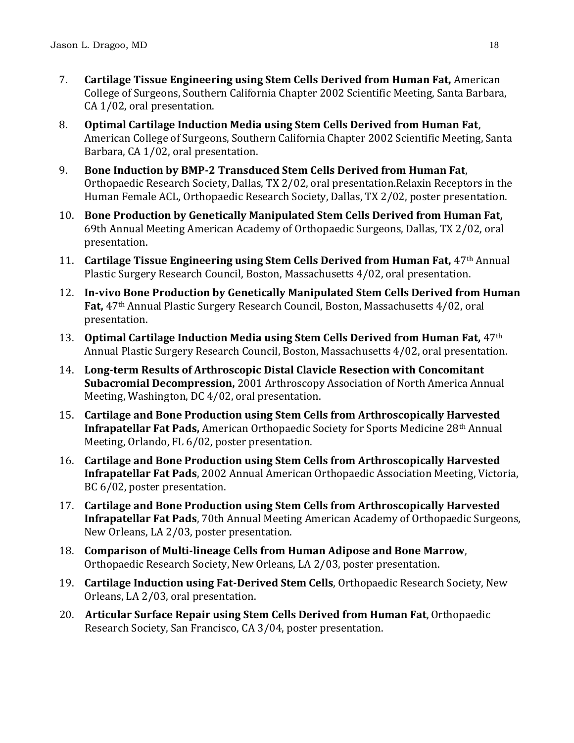- 7. **Cartilage Tissue Engineering using Stem Cells Derived from Human Fat,** American College of Surgeons, Southern California Chapter 2002 Scientific Meeting, Santa Barbara, CA 1/02, oral presentation.
- 8. **Optimal Cartilage Induction Media using Stem Cells Derived from Human Fat**, American College of Surgeons, Southern California Chapter 2002 Scientific Meeting, Santa Barbara, CA 1/02, oral presentation.
- 9. **Bone Induction by BMP-2 Transduced Stem Cells Derived from Human Fat**, Orthopaedic Research Society, Dallas, TX 2/02, oral presentation.Relaxin Receptors in the Human Female ACL, Orthopaedic Research Society, Dallas, TX 2/02, poster presentation.
- 10. **Bone Production by Genetically Manipulated Stem Cells Derived from Human Fat,** 69th Annual Meeting American Academy of Orthopaedic Surgeons, Dallas, TX 2/02, oral presentation.
- 11. **Cartilage Tissue Engineering using Stem Cells Derived from Human Fat,** 47th Annual Plastic Surgery Research Council, Boston, Massachusetts 4/02, oral presentation.
- 12. **In-vivo Bone Production by Genetically Manipulated Stem Cells Derived from Human Fat,** 47th Annual Plastic Surgery Research Council, Boston, Massachusetts 4/02, oral presentation.
- 13. **Optimal Cartilage Induction Media using Stem Cells Derived from Human Fat,** 47th Annual Plastic Surgery Research Council, Boston, Massachusetts 4/02, oral presentation.
- 14. **Long-term Results of Arthroscopic Distal Clavicle Resection with Concomitant Subacromial Decompression,** 2001 Arthroscopy Association of North America Annual Meeting, Washington, DC 4/02, oral presentation.
- 15. **Cartilage and Bone Production using Stem Cells from Arthroscopically Harvested Infrapatellar Fat Pads,** American Orthopaedic Society for Sports Medicine 28th Annual Meeting, Orlando, FL 6/02, poster presentation.
- 16. **Cartilage and Bone Production using Stem Cells from Arthroscopically Harvested Infrapatellar Fat Pads**, 2002 Annual American Orthopaedic Association Meeting, Victoria, BC 6/02, poster presentation.
- 17. **Cartilage and Bone Production using Stem Cells from Arthroscopically Harvested Infrapatellar Fat Pads**, 70th Annual Meeting American Academy of Orthopaedic Surgeons, New Orleans, LA 2/03, poster presentation.
- 18. **Comparison of Multi-lineage Cells from Human Adipose and Bone Marrow**, Orthopaedic Research Society, New Orleans, LA 2/03, poster presentation.
- 19. **Cartilage Induction using Fat-Derived Stem Cells**, Orthopaedic Research Society, New Orleans, LA 2/03, oral presentation.
- 20. **Articular Surface Repair using Stem Cells Derived from Human Fat**, Orthopaedic Research Society, San Francisco, CA 3/04, poster presentation.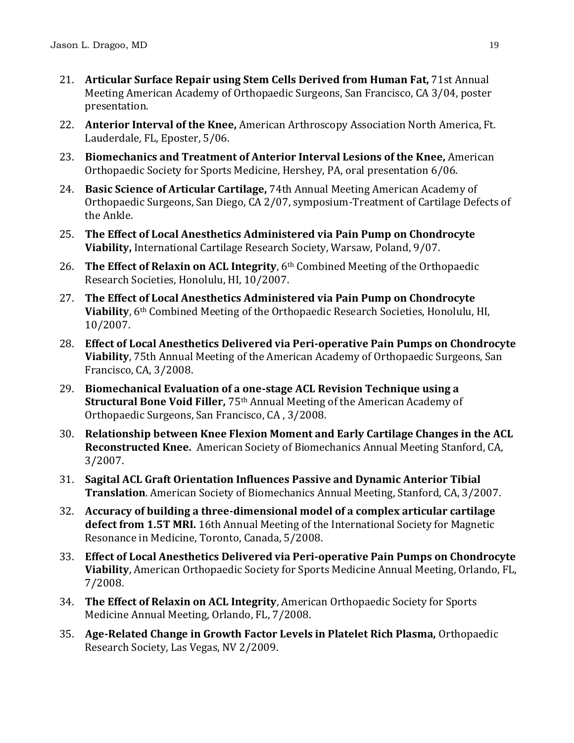- 21. **Articular Surface Repair using Stem Cells Derived from Human Fat,** 71st Annual Meeting American Academy of Orthopaedic Surgeons, San Francisco, CA 3/04, poster presentation.
- 22. **Anterior Interval of the Knee,** American Arthroscopy Association North America, Ft. Lauderdale, FL, Eposter, 5/06.
- 23. **Biomechanics and Treatment of Anterior Interval Lesions of the Knee,** American Orthopaedic Society for Sports Medicine, Hershey, PA, oral presentation 6/06.
- 24. **Basic Science of Articular Cartilage,** 74th Annual Meeting American Academy of Orthopaedic Surgeons, San Diego, CA 2/07, symposium-Treatment of Cartilage Defects of the Ankle.
- 25. **The Effect of Local Anesthetics Administered via Pain Pump on Chondrocyte Viability,** International Cartilage Research Society, Warsaw, Poland, 9/07.
- 26. **The Effect of Relaxin on ACL Integrity**, 6th Combined Meeting of the Orthopaedic Research Societies, Honolulu, HI, 10/2007.
- 27. **The Effect of Local Anesthetics Administered via Pain Pump on Chondrocyte Viability**, 6th Combined Meeting of the Orthopaedic Research Societies, Honolulu, HI, 10/2007.
- 28. **Effect of Local Anesthetics Delivered via Peri-operative Pain Pumps on Chondrocyte Viability**, 75th Annual Meeting of the American Academy of Orthopaedic Surgeons, San Francisco, CA, 3/2008.
- 29. **Biomechanical Evaluation of a one-stage ACL Revision Technique using a Structural Bone Void Filler,** 75th Annual Meeting of the American Academy of Orthopaedic Surgeons, San Francisco, CA , 3/2008.
- 30. **Relationship between Knee Flexion Moment and Early Cartilage Changes in the ACL Reconstructed Knee.** American Society of Biomechanics Annual Meeting Stanford, CA, 3/2007.
- 31. **Sagital ACL Graft Orientation Influences Passive and Dynamic Anterior Tibial Translation**. American Society of Biomechanics Annual Meeting, Stanford, CA, 3/2007.
- 32. **Accuracy of building a three-dimensional model of a complex articular cartilage defect from 1.5T MRI.** 16th Annual Meeting of the International Society for Magnetic Resonance in Medicine, Toronto, Canada, 5/2008.
- 33. **Effect of Local Anesthetics Delivered via Peri-operative Pain Pumps on Chondrocyte Viability**, American Orthopaedic Society for Sports Medicine Annual Meeting, Orlando, FL, 7/2008.
- 34. **The Effect of Relaxin on ACL Integrity**, American Orthopaedic Society for Sports Medicine Annual Meeting, Orlando, FL, 7/2008.
- 35. **Age-Related Change in Growth Factor Levels in Platelet Rich Plasma,** Orthopaedic Research Society, Las Vegas, NV 2/2009.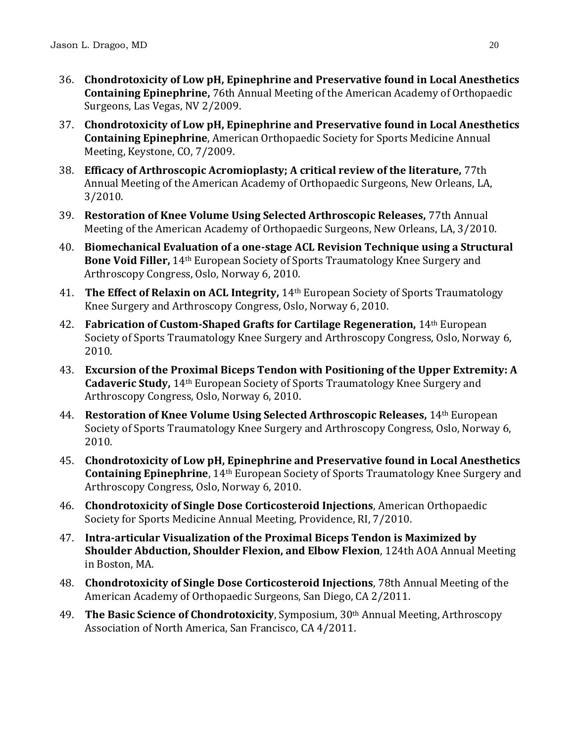- 36. **Chondrotoxicity of Low pH, Epinephrine and Preservative found in Local Anesthetics Containing Epinephrine,** 76th Annual Meeting of the American Academy of Orthopaedic Surgeons, Las Vegas, NV 2/2009.
- 37. **Chondrotoxicity of Low pH, Epinephrine and Preservative found in Local Anesthetics Containing Epinephrine**, American Orthopaedic Society for Sports Medicine Annual Meeting, Keystone, CO, 7/2009.
- 38. **Efficacy of Arthroscopic Acromioplasty; A critical review of the literature,** 77th Annual Meeting of the American Academy of Orthopaedic Surgeons, New Orleans, LA, 3/2010.
- 39. **Restoration of Knee Volume Using Selected Arthroscopic Releases,** 77th Annual Meeting of the American Academy of Orthopaedic Surgeons, New Orleans, LA, 3/2010.
- 40. **Biomechanical Evaluation of a one-stage ACL Revision Technique using a Structural Bone Void Filler,** 14th European Society of Sports Traumatology Knee Surgery and Arthroscopy Congress, Oslo, Norway 6, 2010.
- 41. **The Effect of Relaxin on ACL Integrity,** 14th European Society of Sports Traumatology Knee Surgery and Arthroscopy Congress, Oslo, Norway 6, 2010.
- 42. **Fabrication of Custom-Shaped Grafts for Cartilage Regeneration,** 14th European Society of Sports Traumatology Knee Surgery and Arthroscopy Congress, Oslo, Norway 6, 2010.
- 43. **Excursion of the Proximal Biceps Tendon with Positioning of the Upper Extremity: A Cadaveric Study,** 14th European Society of Sports Traumatology Knee Surgery and Arthroscopy Congress, Oslo, Norway 6, 2010.
- 44. **Restoration of Knee Volume Using Selected Arthroscopic Releases,** 14th European Society of Sports Traumatology Knee Surgery and Arthroscopy Congress, Oslo, Norway 6, 2010.
- 45. **Chondrotoxicity of Low pH, Epinephrine and Preservative found in Local Anesthetics Containing Epinephrine**, 14th European Society of Sports Traumatology Knee Surgery and Arthroscopy Congress, Oslo, Norway 6, 2010.
- 46. **Chondrotoxicity of Single Dose Corticosteroid Injections**, American Orthopaedic Society for Sports Medicine Annual Meeting, Providence, RI, 7/2010.
- 47. **Intra-articular Visualization of the Proximal Biceps Tendon is Maximized by Shoulder Abduction, Shoulder Flexion, and Elbow Flexion**, 124th AOA Annual Meeting in Boston, MA.
- 48. **Chondrotoxicity of Single Dose Corticosteroid Injections**, 78th Annual Meeting of the American Academy of Orthopaedic Surgeons, San Diego, CA 2/2011.
- 49. **The Basic Science of Chondrotoxicity**, Symposium, 30th Annual Meeting, Arthroscopy Association of North America, San Francisco, CA 4/2011.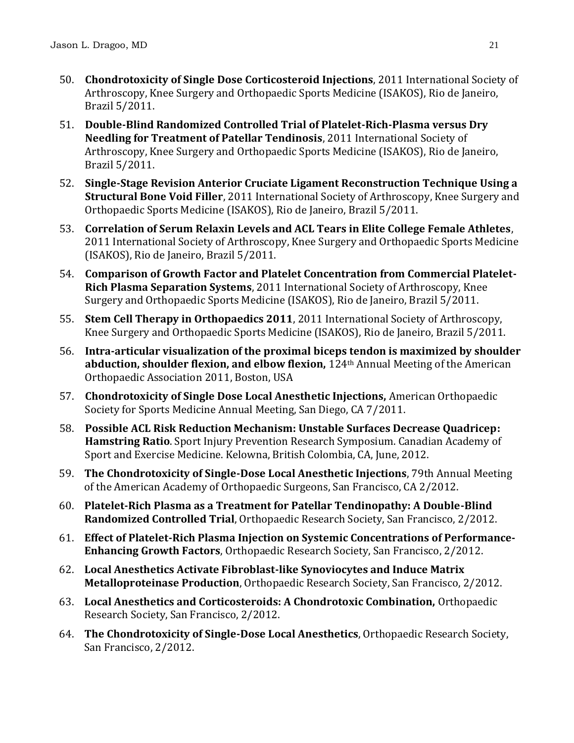- 50. **Chondrotoxicity of Single Dose Corticosteroid Injections**, 2011 International Society of Arthroscopy, Knee Surgery and Orthopaedic Sports Medicine (ISAKOS), Rio de Janeiro, Brazil 5/2011.
- 51. **Double-Blind Randomized Controlled Trial of Platelet-Rich-Plasma versus Dry Needling for Treatment of Patellar Tendinosis**, 2011 International Society of Arthroscopy, Knee Surgery and Orthopaedic Sports Medicine (ISAKOS), Rio de Janeiro, Brazil 5/2011.
- 52. **Single-Stage Revision Anterior Cruciate Ligament Reconstruction Technique Using a Structural Bone Void Filler**, 2011 International Society of Arthroscopy, Knee Surgery and Orthopaedic Sports Medicine (ISAKOS), Rio de Janeiro, Brazil 5/2011.
- 53. **Correlation of Serum Relaxin Levels and ACL Tears in Elite College Female Athletes**, 2011 International Society of Arthroscopy, Knee Surgery and Orthopaedic Sports Medicine (ISAKOS), Rio de Janeiro, Brazil 5/2011.
- 54. **Comparison of Growth Factor and Platelet Concentration from Commercial Platelet-Rich Plasma Separation Systems**, 2011 International Society of Arthroscopy, Knee Surgery and Orthopaedic Sports Medicine (ISAKOS), Rio de Janeiro, Brazil 5/2011.
- 55. **Stem Cell Therapy in Orthopaedics 2011**, 2011 International Society of Arthroscopy, Knee Surgery and Orthopaedic Sports Medicine (ISAKOS), Rio de Janeiro, Brazil 5/2011.
- 56. **Intra-articular visualization of the proximal biceps tendon is maximized by shoulder abduction, shoulder flexion, and elbow flexion,** 124th Annual Meeting of the American Orthopaedic Association 2011, Boston, USA
- 57. **Chondrotoxicity of Single Dose Local Anesthetic Injections,** American Orthopaedic Society for Sports Medicine Annual Meeting, San Diego, CA 7/2011.
- 58. **Possible ACL Risk Reduction Mechanism: Unstable Surfaces Decrease Quadricep: Hamstring Ratio**. Sport Injury Prevention Research Symposium. Canadian Academy of Sport and Exercise Medicine. Kelowna, British Colombia, CA, June, 2012.
- 59. **The Chondrotoxicity of Single-Dose Local Anesthetic Injections**, 79th Annual Meeting of the American Academy of Orthopaedic Surgeons, San Francisco, CA 2/2012.
- 60. **Platelet-Rich Plasma as a Treatment for Patellar Tendinopathy: A Double-Blind Randomized Controlled Trial**, Orthopaedic Research Society, San Francisco, 2/2012.
- 61. **Effect of Platelet-Rich Plasma Injection on Systemic Concentrations of Performance-Enhancing Growth Factors**, Orthopaedic Research Society, San Francisco, 2/2012.
- 62. **Local Anesthetics Activate Fibroblast-like Synoviocytes and Induce Matrix Metalloproteinase Production**, Orthopaedic Research Society, San Francisco, 2/2012.
- 63. **Local Anesthetics and Corticosteroids: A Chondrotoxic Combination,** Orthopaedic Research Society, San Francisco, 2/2012.
- 64. **The Chondrotoxicity of Single-Dose Local Anesthetics**, Orthopaedic Research Society, San Francisco, 2/2012.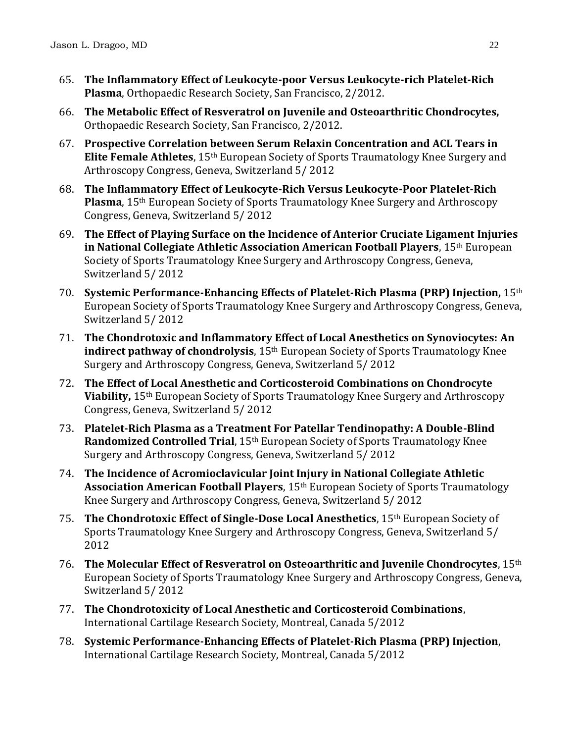- 65. **The Inflammatory Effect of Leukocyte-poor Versus Leukocyte-rich Platelet-Rich Plasma**, Orthopaedic Research Society, San Francisco, 2/2012.
- 66. **The Metabolic Effect of Resveratrol on Juvenile and Osteoarthritic Chondrocytes,** Orthopaedic Research Society, San Francisco, 2/2012.
- 67. **Prospective Correlation between Serum Relaxin Concentration and ACL Tears in Elite Female Athletes**, 15th European Society of Sports Traumatology Knee Surgery and Arthroscopy Congress, Geneva, Switzerland 5/ 2012
- 68. **The Inflammatory Effect of Leukocyte-Rich Versus Leukocyte-Poor Platelet-Rich Plasma**, 15th European Society of Sports Traumatology Knee Surgery and Arthroscopy Congress, Geneva, Switzerland 5/ 2012
- 69. **The Effect of Playing Surface on the Incidence of Anterior Cruciate Ligament Injuries in National Collegiate Athletic Association American Football Players**, 15th European Society of Sports Traumatology Knee Surgery and Arthroscopy Congress, Geneva, Switzerland 5/ 2012
- 70. **Systemic Performance-Enhancing Effects of Platelet-Rich Plasma (PRP) Injection,** 15th European Society of Sports Traumatology Knee Surgery and Arthroscopy Congress, Geneva, Switzerland 5/ 2012
- 71. **The Chondrotoxic and Inflammatory Effect of Local Anesthetics on Synoviocytes: An indirect pathway of chondrolysis**, 15th European Society of Sports Traumatology Knee Surgery and Arthroscopy Congress, Geneva, Switzerland 5/ 2012
- 72. **The Effect of Local Anesthetic and Corticosteroid Combinations on Chondrocyte Viability,** 15th European Society of Sports Traumatology Knee Surgery and Arthroscopy Congress, Geneva, Switzerland 5/ 2012
- 73. **Platelet-Rich Plasma as a Treatment For Patellar Tendinopathy: A Double-Blind Randomized Controlled Trial**, 15<sup>th</sup> European Society of Sports Traumatology Knee Surgery and Arthroscopy Congress, Geneva, Switzerland 5/ 2012
- 74. **The Incidence of Acromioclavicular Joint Injury in National Collegiate Athletic Association American Football Players**, 15th European Society of Sports Traumatology Knee Surgery and Arthroscopy Congress, Geneva, Switzerland 5/ 2012
- 75. **The Chondrotoxic Effect of Single-Dose Local Anesthetics**, 15th European Society of Sports Traumatology Knee Surgery and Arthroscopy Congress, Geneva, Switzerland 5/ 2012
- 76. **The Molecular Effect of Resveratrol on Osteoarthritic and Juvenile Chondrocytes**, 15th European Society of Sports Traumatology Knee Surgery and Arthroscopy Congress, Geneva, Switzerland 5/ 2012
- 77. **The Chondrotoxicity of Local Anesthetic and Corticosteroid Combinations**, International Cartilage Research Society, Montreal, Canada 5/2012
- 78. **Systemic Performance-Enhancing Effects of Platelet-Rich Plasma (PRP) Injection**, International Cartilage Research Society, Montreal, Canada 5/2012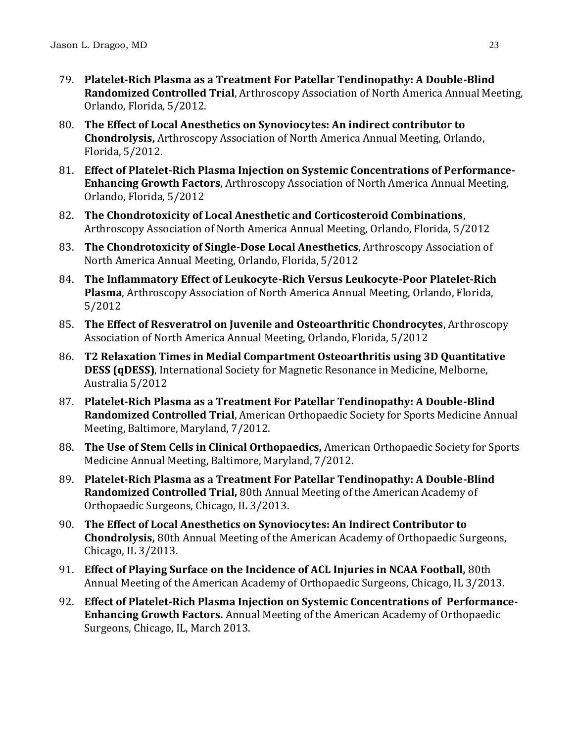- 79. **Platelet-Rich Plasma as a Treatment For Patellar Tendinopathy: A Double-Blind Randomized Controlled Trial**, Arthroscopy Association of North America Annual Meeting, Orlando, Florida, 5/2012.
- 80. **The Effect of Local Anesthetics on Synoviocytes: An indirect contributor to Chondrolysis,** Arthroscopy Association of North America Annual Meeting, Orlando, Florida, 5/2012.
- 81. **Effect of Platelet-Rich Plasma Injection on Systemic Concentrations of Performance-Enhancing Growth Factors**, Arthroscopy Association of North America Annual Meeting, Orlando, Florida, 5/2012
- 82. **The Chondrotoxicity of Local Anesthetic and Corticosteroid Combinations**, Arthroscopy Association of North America Annual Meeting, Orlando, Florida, 5/2012
- 83. **The Chondrotoxicity of Single-Dose Local Anesthetics**, Arthroscopy Association of North America Annual Meeting, Orlando, Florida, 5/2012
- 84. **The Inflammatory Effect of Leukocyte-Rich Versus Leukocyte-Poor Platelet-Rich Plasma**, Arthroscopy Association of North America Annual Meeting, Orlando, Florida, 5/2012
- 85. **The Effect of Resveratrol on Juvenile and Osteoarthritic Chondrocytes**, Arthroscopy Association of North America Annual Meeting, Orlando, Florida, 5/2012
- 86. **T2 Relaxation Times in Medial Compartment Osteoarthritis using 3D Quantitative DESS (qDESS)**, International Society for Magnetic Resonance in Medicine, Melborne, Australia 5/2012
- 87. **Platelet-Rich Plasma as a Treatment For Patellar Tendinopathy: A Double-Blind Randomized Controlled Trial**, American Orthopaedic Society for Sports Medicine Annual Meeting, Baltimore, Maryland, 7/2012.
- 88. **The Use of Stem Cells in Clinical Orthopaedics,** American Orthopaedic Society for Sports Medicine Annual Meeting, Baltimore, Maryland, 7/2012.
- 89. **Platelet-Rich Plasma as a Treatment For Patellar Tendinopathy: A Double-Blind Randomized Controlled Trial,** 80th Annual Meeting of the American Academy of Orthopaedic Surgeons, Chicago, IL 3/2013.
- 90. **The Effect of Local Anesthetics on Synoviocytes: An Indirect Contributor to Chondrolysis,** 80th Annual Meeting of the American Academy of Orthopaedic Surgeons, Chicago, IL 3/2013.
- 91. **Effect of Playing Surface on the Incidence of ACL Injuries in NCAA Football,** 80th Annual Meeting of the American Academy of Orthopaedic Surgeons, Chicago, IL 3/2013.
- 92. **Effect of Platelet-Rich Plasma Injection on Systemic Concentrations of Performance-Enhancing Growth Factors.** Annual Meeting of the American Academy of Orthopaedic Surgeons, Chicago, IL, March 2013.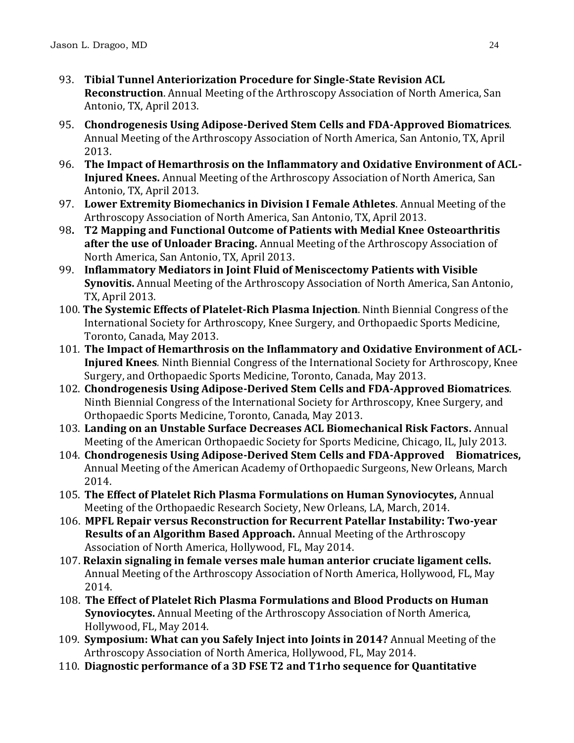- 93. **Tibial Tunnel Anteriorization Procedure for Single-State Revision ACL Reconstruction**. Annual Meeting of the Arthroscopy Association of North America, San Antonio, TX, April 2013.
- 95. **Chondrogenesis Using Adipose-Derived Stem Cells and FDA-Approved Biomatrices***.* Annual Meeting of the Arthroscopy Association of North America, San Antonio, TX, April 2013.
- 96. **The Impact of Hemarthrosis on the Inflammatory and Oxidative Environment of ACL-Injured Knees.** Annual Meeting of the Arthroscopy Association of North America, San Antonio, TX, April 2013.
- 97. **Lower Extremity Biomechanics in Division I Female Athletes**. Annual Meeting of the Arthroscopy Association of North America, San Antonio, TX, April 2013.
- 98**. T2 Mapping and Functional Outcome of Patients with Medial Knee Osteoarthritis after the use of Unloader Bracing.** Annual Meeting of the Arthroscopy Association of North America, San Antonio, TX, April 2013.
- 99. **Inflammatory Mediators in Joint Fluid of Meniscectomy Patients with Visible Synovitis.** Annual Meeting of the Arthroscopy Association of North America, San Antonio, TX, April 2013.
- 100. **The Systemic Effects of Platelet-Rich Plasma Injection**. Ninth Biennial Congress of the International Society for Arthroscopy, Knee Surgery, and Orthopaedic Sports Medicine, Toronto, Canada, May 2013.
- 101*.* **The Impact of Hemarthrosis on the Inflammatory and Oxidative Environment of ACL-Injured Knees***.* Ninth Biennial Congress of the International Society for Arthroscopy, Knee Surgery, and Orthopaedic Sports Medicine, Toronto, Canada, May 2013.
- 102. **Chondrogenesis Using Adipose-Derived Stem Cells and FDA-Approved Biomatrices***.*  Ninth Biennial Congress of the International Society for Arthroscopy, Knee Surgery, and Orthopaedic Sports Medicine, Toronto, Canada, May 2013.
- 103. **Landing on an Unstable Surface Decreases ACL Biomechanical Risk Factors.** Annual Meeting of the American Orthopaedic Society for Sports Medicine, Chicago, IL, July 2013.
- 104. **Chondrogenesis Using Adipose-Derived Stem Cells and FDA-Approved Biomatrices,**  Annual Meeting of the American Academy of Orthopaedic Surgeons, New Orleans, March 2014.
- 105. **The Effect of Platelet Rich Plasma Formulations on Human Synoviocytes,** Annual Meeting of the Orthopaedic Research Society, New Orleans, LA, March, 2014.
- 106. **MPFL Repair versus Reconstruction for Recurrent Patellar Instability: Two-year Results of an Algorithm Based Approach.** Annual Meeting of the Arthroscopy Association of North America, Hollywood, FL, May 2014.
- 107. **Relaxin signaling in female verses male human anterior cruciate ligament cells.** Annual Meeting of the Arthroscopy Association of North America, Hollywood, FL, May 2014.
- 108. **The Effect of Platelet Rich Plasma Formulations and Blood Products on Human Synoviocytes.** Annual Meeting of the Arthroscopy Association of North America, Hollywood, FL, May 2014.
- 109. **Symposium: What can you Safely Inject into Joints in 2014?** Annual Meeting of the Arthroscopy Association of North America, Hollywood, FL, May 2014.
- 110. **Diagnostic performance of a 3D FSE T2 and T1rho sequence for Quantitative**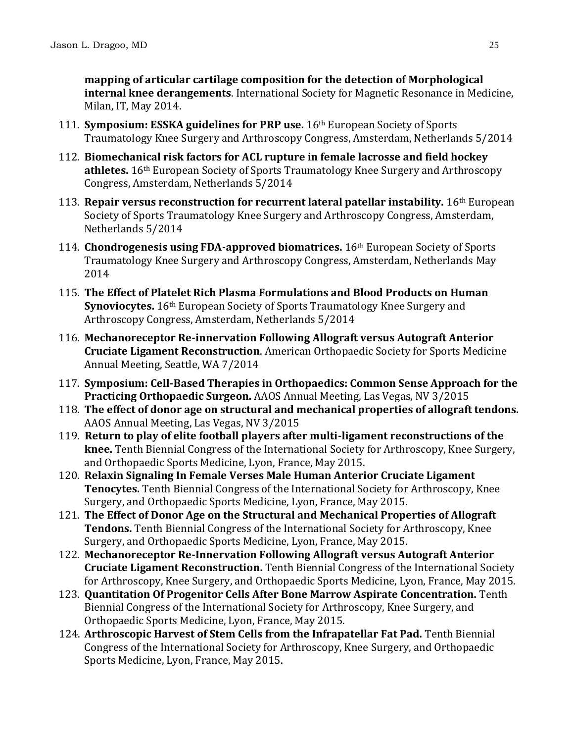**mapping of articular cartilage composition for the detection of Morphological internal knee derangements**. International Society for Magnetic Resonance in Medicine, Milan, IT, May 2014.

- 111. **Symposium: ESSKA guidelines for PRP use.** 16th European Society of Sports Traumatology Knee Surgery and Arthroscopy Congress, Amsterdam, Netherlands 5/2014
- 112. **Biomechanical risk factors for ACL rupture in female lacrosse and field hockey athletes.** 16th European Society of Sports Traumatology Knee Surgery and Arthroscopy Congress, Amsterdam, Netherlands 5/2014
- 113. **Repair versus reconstruction for recurrent lateral patellar instability.** 16th European Society of Sports Traumatology Knee Surgery and Arthroscopy Congress, Amsterdam, Netherlands 5/2014
- 114. **Chondrogenesis using FDA-approved biomatrices.** 16th European Society of Sports Traumatology Knee Surgery and Arthroscopy Congress, Amsterdam, Netherlands May 2014
- 115. **The Effect of Platelet Rich Plasma Formulations and Blood Products on Human Synoviocytes.** 16<sup>th</sup> European Society of Sports Traumatology Knee Surgery and Arthroscopy Congress, Amsterdam, Netherlands 5/2014
- 116. **Mechanoreceptor Re-innervation Following Allograft versus Autograft Anterior Cruciate Ligament Reconstruction**. American Orthopaedic Society for Sports Medicine Annual Meeting, Seattle, WA 7/2014
- 117. **Symposium: Cell-Based Therapies in Orthopaedics: Common Sense Approach for the Practicing Orthopaedic Surgeon.** AAOS Annual Meeting, Las Vegas, NV 3/2015
- 118. **The effect of donor age on structural and mechanical properties of allograft tendons.** AAOS Annual Meeting, Las Vegas, NV 3/2015
- 119. **Return to play of elite football players after multi-ligament reconstructions of the knee.** Tenth Biennial Congress of the International Society for Arthroscopy, Knee Surgery, and Orthopaedic Sports Medicine, Lyon, France, May 2015.
- 120. **Relaxin Signaling In Female Verses Male Human Anterior Cruciate Ligament Tenocytes.** Tenth Biennial Congress of the International Society for Arthroscopy, Knee Surgery, and Orthopaedic Sports Medicine, Lyon, France, May 2015.
- 121. **The Effect of Donor Age on the Structural and Mechanical Properties of Allograft Tendons.** Tenth Biennial Congress of the International Society for Arthroscopy, Knee Surgery, and Orthopaedic Sports Medicine, Lyon, France, May 2015.
- 122. **Mechanoreceptor Re-Innervation Following Allograft versus Autograft Anterior Cruciate Ligament Reconstruction.** Tenth Biennial Congress of the International Society for Arthroscopy, Knee Surgery, and Orthopaedic Sports Medicine, Lyon, France, May 2015.
- 123. **Quantitation Of Progenitor Cells After Bone Marrow Aspirate Concentration.** Tenth Biennial Congress of the International Society for Arthroscopy, Knee Surgery, and Orthopaedic Sports Medicine, Lyon, France, May 2015.
- 124. **Arthroscopic Harvest of Stem Cells from the Infrapatellar Fat Pad.** Tenth Biennial Congress of the International Society for Arthroscopy, Knee Surgery, and Orthopaedic Sports Medicine, Lyon, France, May 2015.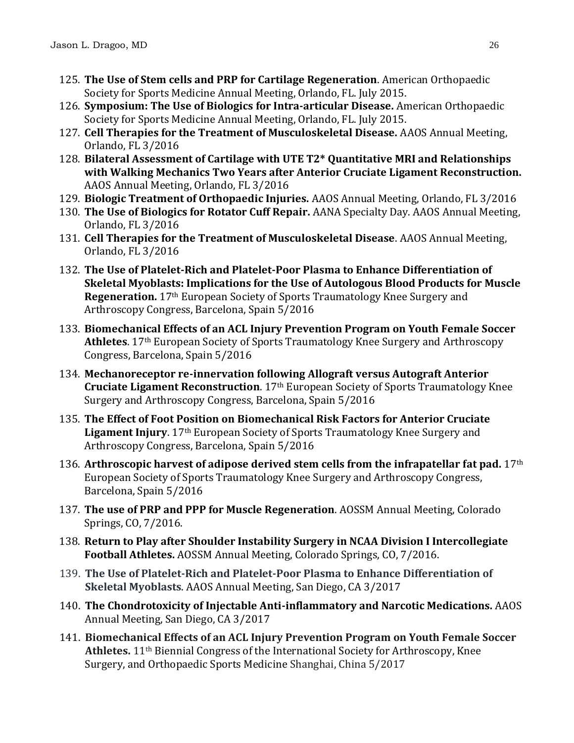- 125. **The Use of Stem cells and PRP for Cartilage Regeneration**. American Orthopaedic Society for Sports Medicine Annual Meeting, Orlando, FL. July 2015.
- 126. **Symposium: The Use of Biologics for Intra-articular Disease.** American Orthopaedic Society for Sports Medicine Annual Meeting, Orlando, FL. July 2015.
- 127. **Cell Therapies for the Treatment of Musculoskeletal Disease.** AAOS Annual Meeting, Orlando, FL 3/2016
- 128. **Bilateral Assessment of Cartilage with UTE T2\* Quantitative MRI and Relationships with Walking Mechanics Two Years after Anterior Cruciate Ligament Reconstruction.**  AAOS Annual Meeting, Orlando, FL 3/2016
- 129. **Biologic Treatment of Orthopaedic Injuries.** AAOS Annual Meeting, Orlando, FL 3/2016
- 130. **The Use of Biologics for Rotator Cuff Repair.** AANA Specialty Day. AAOS Annual Meeting, Orlando, FL 3/2016
- 131. **Cell Therapies for the Treatment of Musculoskeletal Disease**. AAOS Annual Meeting, Orlando, FL 3/2016
- 132. **The Use of Platelet-Rich and Platelet-Poor Plasma to Enhance Differentiation of Skeletal Myoblasts: Implications for the Use of Autologous Blood Products for Muscle Regeneration.** 17th European Society of Sports Traumatology Knee Surgery and Arthroscopy Congress, Barcelona, Spain 5/2016
- 133. **Biomechanical Effects of an ACL Injury Prevention Program on Youth Female Soccer Athletes**. 17th European Society of Sports Traumatology Knee Surgery and Arthroscopy Congress, Barcelona, Spain 5/2016
- 134. **Mechanoreceptor re-innervation following Allograft versus Autograft Anterior Cruciate Ligament Reconstruction**. 17th European Society of Sports Traumatology Knee Surgery and Arthroscopy Congress, Barcelona, Spain 5/2016
- 135. **The Effect of Foot Position on Biomechanical Risk Factors for Anterior Cruciate Ligament Injury**. 17<sup>th</sup> European Society of Sports Traumatology Knee Surgery and Arthroscopy Congress, Barcelona, Spain 5/2016
- 136. **Arthroscopic harvest of adipose derived stem cells from the infrapatellar fat pad.** 17th European Society of Sports Traumatology Knee Surgery and Arthroscopy Congress, Barcelona, Spain 5/2016
- 137. **The use of PRP and PPP for Muscle Regeneration**. AOSSM Annual Meeting, Colorado Springs, CO, 7/2016.
- 138. **Return to Play after Shoulder Instability Surgery in NCAA Division I Intercollegiate Football Athletes.** AOSSM Annual Meeting, Colorado Springs, CO, 7/2016.
- 139. **The Use of Platelet-Rich and Platelet-Poor Plasma to Enhance Differentiation of Skeletal Myoblasts**. AAOS Annual Meeting, San Diego, CA 3/2017
- 140. **The Chondrotoxicity of Injectable Anti-inflammatory and Narcotic Medications.** AAOS Annual Meeting, San Diego, CA 3/2017
- 141. **Biomechanical Effects of an ACL Injury Prevention Program on Youth Female Soccer Athletes.** 11th Biennial Congress of the International Society for Arthroscopy, Knee Surgery, and Orthopaedic Sports Medicine Shanghai, China 5/2017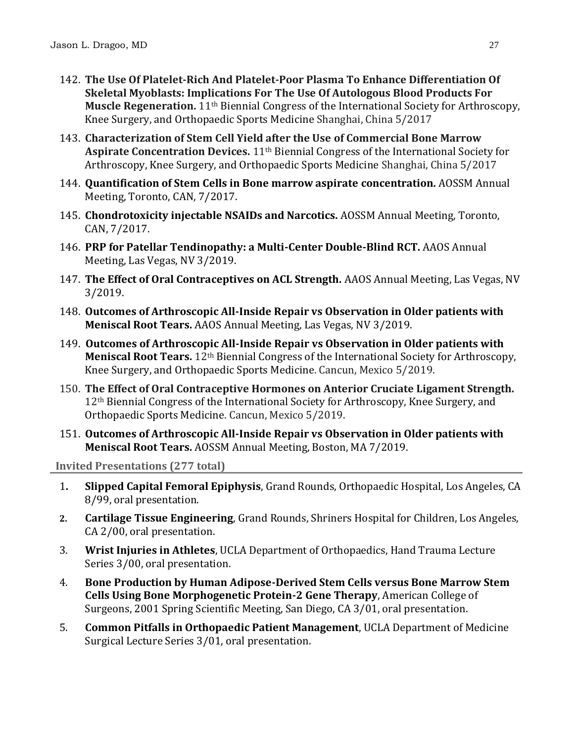- 142. **The Use Of Platelet-Rich And Platelet-Poor Plasma To Enhance Differentiation Of Skeletal Myoblasts: Implications For The Use Of Autologous Blood Products For Muscle Regeneration.** 11th Biennial Congress of the International Society for Arthroscopy, Knee Surgery, and Orthopaedic Sports Medicine Shanghai, China 5/2017
- 143. **Characterization of Stem Cell Yield after the Use of Commercial Bone Marrow Aspirate Concentration Devices.** 11th Biennial Congress of the International Society for Arthroscopy, Knee Surgery, and Orthopaedic Sports Medicine Shanghai, China 5/2017
- 144. **Quantification of Stem Cells in Bone marrow aspirate concentration.** AOSSM Annual Meeting, Toronto, CAN, 7/2017.
- 145. **Chondrotoxicity injectable NSAIDs and Narcotics.** AOSSM Annual Meeting, Toronto, CAN, 7/2017.
- 146. **PRP for Patellar Tendinopathy: a Multi-Center Double-Blind RCT.** AAOS Annual Meeting, Las Vegas, NV 3/2019.
- 147. **The Effect of Oral Contraceptives on ACL Strength.** AAOS Annual Meeting, Las Vegas, NV 3/2019.
- 148. **Outcomes of Arthroscopic All-Inside Repair vs Observation in Older patients with Meniscal Root Tears.** AAOS Annual Meeting, Las Vegas, NV 3/2019.
- 149. **Outcomes of Arthroscopic All-Inside Repair vs Observation in Older patients with Meniscal Root Tears.** 12th Biennial Congress of the International Society for Arthroscopy, Knee Surgery, and Orthopaedic Sports Medicine. Cancun, Mexico 5/2019.
- 150. **The Effect of Oral Contraceptive Hormones on Anterior Cruciate Ligament Strength.**  12<sup>th</sup> Biennial Congress of the International Society for Arthroscopy, Knee Surgery, and Orthopaedic Sports Medicine. Cancun, Mexico 5/2019.
- 151. **Outcomes of Arthroscopic All-Inside Repair vs Observation in Older patients with Meniscal Root Tears.** AOSSM Annual Meeting, Boston, MA 7/2019.

**Invited Presentations (277 total)**

- 1**. Slipped Capital Femoral Epiphysis**, Grand Rounds, Orthopaedic Hospital, Los Angeles, CA 8/99, oral presentation.
- **2. Cartilage Tissue Engineering**, Grand Rounds, Shriners Hospital for Children, Los Angeles, CA 2/00, oral presentation.
- 3. **Wrist Injuries in Athletes**, UCLA Department of Orthopaedics, Hand Trauma Lecture Series 3/00, oral presentation.
- 4. **Bone Production by Human Adipose-Derived Stem Cells versus Bone Marrow Stem Cells Using Bone Morphogenetic Protein-2 Gene Therapy**, American College of Surgeons, 2001 Spring Scientific Meeting, San Diego, CA 3/01, oral presentation.
- 5. **Common Pitfalls in Orthopaedic Patient Management**, UCLA Department of Medicine Surgical Lecture Series 3/01, oral presentation.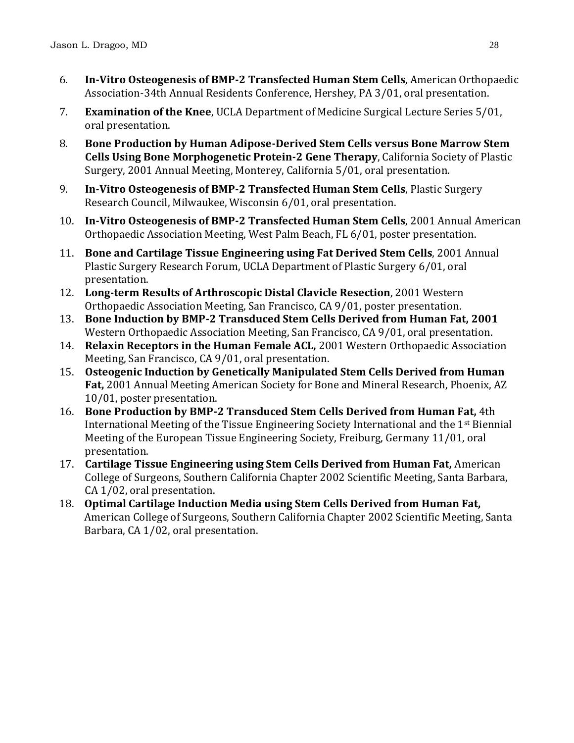- 6. **In-Vitro Osteogenesis of BMP-2 Transfected Human Stem Cells**, American Orthopaedic Association-34th Annual Residents Conference, Hershey, PA 3/01, oral presentation.
- 7. **Examination of the Knee**, UCLA Department of Medicine Surgical Lecture Series 5/01, oral presentation.
- 8. **Bone Production by Human Adipose-Derived Stem Cells versus Bone Marrow Stem Cells Using Bone Morphogenetic Protein-2 Gene Therapy**, California Society of Plastic Surgery, 2001 Annual Meeting, Monterey, California 5/01, oral presentation.
- 9. **In-Vitro Osteogenesis of BMP-2 Transfected Human Stem Cells**, Plastic Surgery Research Council, Milwaukee, Wisconsin 6/01, oral presentation.
- 10. **In-Vitro Osteogenesis of BMP-2 Transfected Human Stem Cells**, 2001 Annual American Orthopaedic Association Meeting, West Palm Beach, FL 6/01, poster presentation.
- 11. **Bone and Cartilage Tissue Engineering using Fat Derived Stem Cells**, 2001 Annual Plastic Surgery Research Forum, UCLA Department of Plastic Surgery 6/01, oral presentation.
- 12. **Long-term Results of Arthroscopic Distal Clavicle Resection**, 2001 Western Orthopaedic Association Meeting, San Francisco, CA 9/01, poster presentation.
- 13. **Bone Induction by BMP-2 Transduced Stem Cells Derived from Human Fat, 2001** Western Orthopaedic Association Meeting, San Francisco, CA 9/01, oral presentation.
- 14. **Relaxin Receptors in the Human Female ACL,** 2001 Western Orthopaedic Association Meeting, San Francisco, CA 9/01, oral presentation.
- 15. **Osteogenic Induction by Genetically Manipulated Stem Cells Derived from Human Fat,** 2001 Annual Meeting American Society for Bone and Mineral Research, Phoenix, AZ 10/01, poster presentation.
- 16. **Bone Production by BMP-2 Transduced Stem Cells Derived from Human Fat,** 4th International Meeting of the Tissue Engineering Society International and the  $1<sup>st</sup>$  Biennial Meeting of the European Tissue Engineering Society, Freiburg, Germany 11/01, oral presentation.
- 17. **Cartilage Tissue Engineering using Stem Cells Derived from Human Fat,** American College of Surgeons, Southern California Chapter 2002 Scientific Meeting, Santa Barbara, CA 1/02, oral presentation.
- 18. **Optimal Cartilage Induction Media using Stem Cells Derived from Human Fat,**  American College of Surgeons, Southern California Chapter 2002 Scientific Meeting, Santa Barbara, CA 1/02, oral presentation.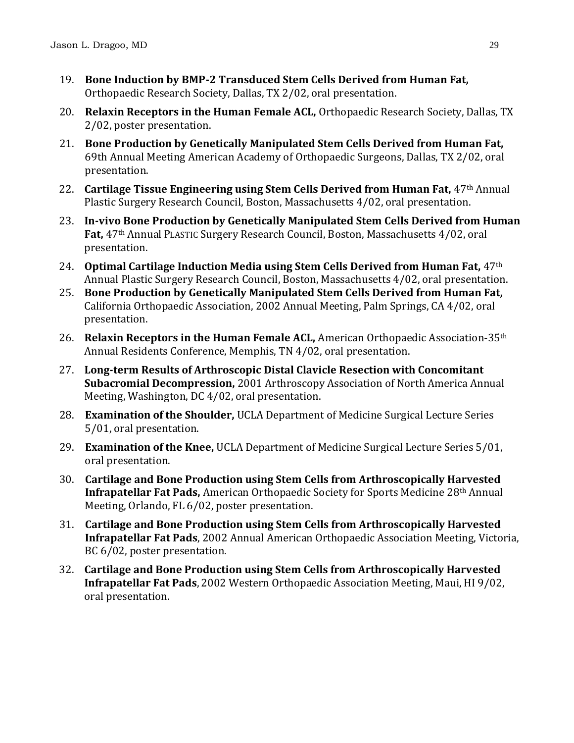- 19. **Bone Induction by BMP-2 Transduced Stem Cells Derived from Human Fat,**  Orthopaedic Research Society, Dallas, TX 2/02, oral presentation.
- 20. **Relaxin Receptors in the Human Female ACL,** Orthopaedic Research Society, Dallas, TX 2/02, poster presentation.
- 21. **Bone Production by Genetically Manipulated Stem Cells Derived from Human Fat,** 69th Annual Meeting American Academy of Orthopaedic Surgeons, Dallas, TX 2/02, oral presentation.
- 22. **Cartilage Tissue Engineering using Stem Cells Derived from Human Fat,** 47th Annual Plastic Surgery Research Council, Boston, Massachusetts 4/02, oral presentation.
- 23. **In-vivo Bone Production by Genetically Manipulated Stem Cells Derived from Human Fat,** 47th Annual PLASTIC Surgery Research Council, Boston, Massachusetts 4/02, oral presentation.
- 24. **Optimal Cartilage Induction Media using Stem Cells Derived from Human Fat,** 47th Annual Plastic Surgery Research Council, Boston, Massachusetts 4/02, oral presentation.
- 25. **Bone Production by Genetically Manipulated Stem Cells Derived from Human Fat,** California Orthopaedic Association, 2002 Annual Meeting, Palm Springs, CA 4/02, oral presentation.
- 26. **Relaxin Receptors in the Human Female ACL,** American Orthopaedic Association-35th Annual Residents Conference, Memphis, TN 4/02, oral presentation.
- 27. **Long-term Results of Arthroscopic Distal Clavicle Resection with Concomitant Subacromial Decompression,** 2001 Arthroscopy Association of North America Annual Meeting, Washington, DC 4/02, oral presentation.
- 28. **Examination of the Shoulder,** UCLA Department of Medicine Surgical Lecture Series 5/01, oral presentation.
- 29. **Examination of the Knee,** UCLA Department of Medicine Surgical Lecture Series 5/01, oral presentation.
- 30. **Cartilage and Bone Production using Stem Cells from Arthroscopically Harvested Infrapatellar Fat Pads,** American Orthopaedic Society for Sports Medicine 28th Annual Meeting, Orlando, FL 6/02, poster presentation.
- 31. **Cartilage and Bone Production using Stem Cells from Arthroscopically Harvested Infrapatellar Fat Pads**, 2002 Annual American Orthopaedic Association Meeting, Victoria, BC 6/02, poster presentation.
- 32. **Cartilage and Bone Production using Stem Cells from Arthroscopically Harvested Infrapatellar Fat Pads**, 2002 Western Orthopaedic Association Meeting, Maui, HI 9/02, oral presentation.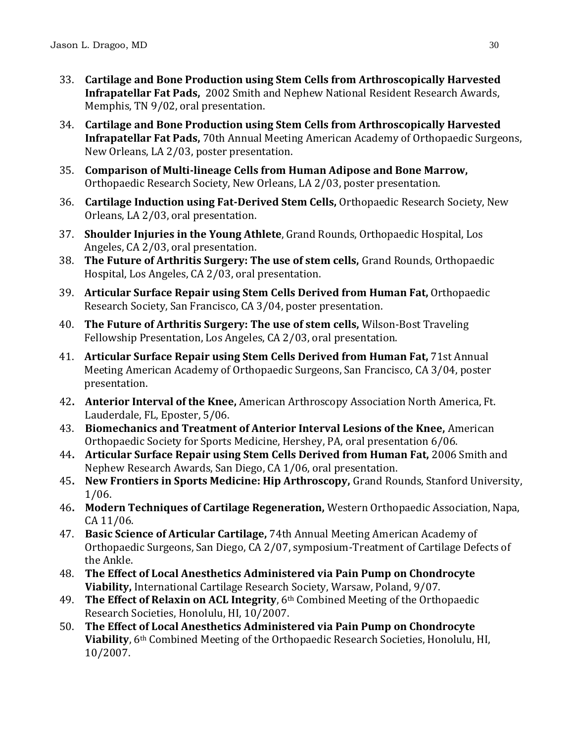- 33. **Cartilage and Bone Production using Stem Cells from Arthroscopically Harvested Infrapatellar Fat Pads,** 2002 Smith and Nephew National Resident Research Awards, Memphis, TN 9/02, oral presentation.
- 34. **Cartilage and Bone Production using Stem Cells from Arthroscopically Harvested Infrapatellar Fat Pads,** 70th Annual Meeting American Academy of Orthopaedic Surgeons, New Orleans, LA 2/03, poster presentation.
- 35. **Comparison of Multi-lineage Cells from Human Adipose and Bone Marrow,**  Orthopaedic Research Society, New Orleans, LA 2/03, poster presentation.
- 36. **Cartilage Induction using Fat-Derived Stem Cells,** Orthopaedic Research Society, New Orleans, LA 2/03, oral presentation.
- 37. **Shoulder Injuries in the Young Athlete**, Grand Rounds, Orthopaedic Hospital, Los Angeles, CA 2/03, oral presentation.
- 38. **The Future of Arthritis Surgery: The use of stem cells,** Grand Rounds, Orthopaedic Hospital, Los Angeles, CA 2/03, oral presentation.
- 39. **Articular Surface Repair using Stem Cells Derived from Human Fat,** Orthopaedic Research Society, San Francisco, CA 3/04, poster presentation.
- 40. **The Future of Arthritis Surgery: The use of stem cells,** Wilson-Bost Traveling Fellowship Presentation, Los Angeles, CA 2/03, oral presentation.
- 41. **Articular Surface Repair using Stem Cells Derived from Human Fat,** 71st Annual Meeting American Academy of Orthopaedic Surgeons, San Francisco, CA 3/04, poster presentation.
- 42**. Anterior Interval of the Knee,** American Arthroscopy Association North America, Ft. Lauderdale, FL, Eposter, 5/06.
- 43. **Biomechanics and Treatment of Anterior Interval Lesions of the Knee,** American Orthopaedic Society for Sports Medicine, Hershey, PA, oral presentation 6/06.
- 44**. Articular Surface Repair using Stem Cells Derived from Human Fat,** 2006 Smith and Nephew Research Awards, San Diego, CA 1/06, oral presentation.
- 45**. New Frontiers in Sports Medicine: Hip Arthroscopy,** Grand Rounds, Stanford University, 1/06.
- 46**. Modern Techniques of Cartilage Regeneration,** Western Orthopaedic Association, Napa, CA 11/06.
- 47. **Basic Science of Articular Cartilage,** 74th Annual Meeting American Academy of Orthopaedic Surgeons, San Diego, CA 2/07, symposium-Treatment of Cartilage Defects of the Ankle.
- 48. **The Effect of Local Anesthetics Administered via Pain Pump on Chondrocyte Viability,** International Cartilage Research Society, Warsaw, Poland, 9/07.
- 49. **The Effect of Relaxin on ACL Integrity**, 6th Combined Meeting of the Orthopaedic Research Societies, Honolulu, HI, 10/2007.
- 50. **The Effect of Local Anesthetics Administered via Pain Pump on Chondrocyte Viability**, 6th Combined Meeting of the Orthopaedic Research Societies, Honolulu, HI, 10/2007.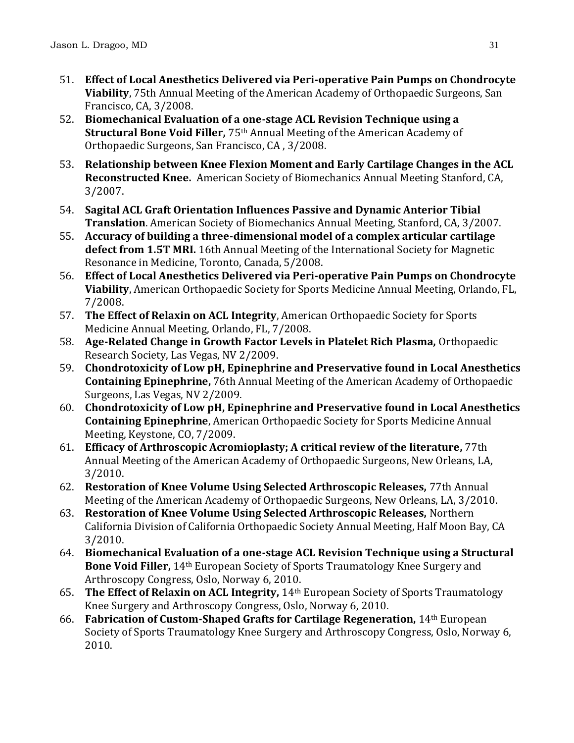- 51. **Effect of Local Anesthetics Delivered via Peri-operative Pain Pumps on Chondrocyte Viability**, 75th Annual Meeting of the American Academy of Orthopaedic Surgeons, San Francisco, CA, 3/2008.
- 52. **Biomechanical Evaluation of a one-stage ACL Revision Technique using a Structural Bone Void Filler,** 75th Annual Meeting of the American Academy of Orthopaedic Surgeons, San Francisco, CA , 3/2008.
- 53. **Relationship between Knee Flexion Moment and Early Cartilage Changes in the ACL Reconstructed Knee.** American Society of Biomechanics Annual Meeting Stanford, CA, 3/2007.
- 54. **Sagital ACL Graft Orientation Influences Passive and Dynamic Anterior Tibial Translation**. American Society of Biomechanics Annual Meeting, Stanford, CA, 3/2007.
- 55. **Accuracy of building a three-dimensional model of a complex articular cartilage defect from 1.5T MRI.** 16th Annual Meeting of the International Society for Magnetic Resonance in Medicine, Toronto, Canada, 5/2008.
- 56. **Effect of Local Anesthetics Delivered via Peri-operative Pain Pumps on Chondrocyte Viability**, American Orthopaedic Society for Sports Medicine Annual Meeting, Orlando, FL, 7/2008.
- 57. **The Effect of Relaxin on ACL Integrity**, American Orthopaedic Society for Sports Medicine Annual Meeting, Orlando, FL, 7/2008.
- 58. **Age-Related Change in Growth Factor Levels in Platelet Rich Plasma,** Orthopaedic Research Society, Las Vegas, NV 2/2009.
- 59. **Chondrotoxicity of Low pH, Epinephrine and Preservative found in Local Anesthetics Containing Epinephrine,** 76th Annual Meeting of the American Academy of Orthopaedic Surgeons, Las Vegas, NV 2/2009.
- 60. **Chondrotoxicity of Low pH, Epinephrine and Preservative found in Local Anesthetics Containing Epinephrine**, American Orthopaedic Society for Sports Medicine Annual Meeting, Keystone, CO, 7/2009.
- 61. **Efficacy of Arthroscopic Acromioplasty; A critical review of the literature,** 77th Annual Meeting of the American Academy of Orthopaedic Surgeons, New Orleans, LA, 3/2010.
- 62. **Restoration of Knee Volume Using Selected Arthroscopic Releases,** 77th Annual Meeting of the American Academy of Orthopaedic Surgeons, New Orleans, LA, 3/2010.
- 63. **Restoration of Knee Volume Using Selected Arthroscopic Releases,** Northern California Division of California Orthopaedic Society Annual Meeting, Half Moon Bay, CA 3/2010.
- 64. **Biomechanical Evaluation of a one-stage ACL Revision Technique using a Structural Bone Void Filler,** 14th European Society of Sports Traumatology Knee Surgery and Arthroscopy Congress, Oslo, Norway 6, 2010.
- 65. **The Effect of Relaxin on ACL Integrity,** 14th European Society of Sports Traumatology Knee Surgery and Arthroscopy Congress, Oslo, Norway 6, 2010.
- 66. **Fabrication of Custom-Shaped Grafts for Cartilage Regeneration,** 14th European Society of Sports Traumatology Knee Surgery and Arthroscopy Congress, Oslo, Norway 6, 2010.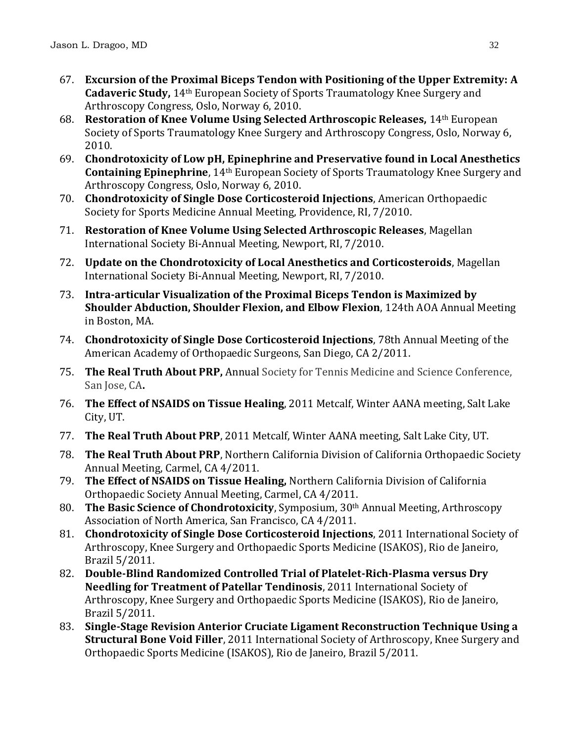- 67. **Excursion of the Proximal Biceps Tendon with Positioning of the Upper Extremity: A Cadaveric Study,** 14th European Society of Sports Traumatology Knee Surgery and Arthroscopy Congress, Oslo, Norway 6, 2010.
- 68. **Restoration of Knee Volume Using Selected Arthroscopic Releases,** 14th European Society of Sports Traumatology Knee Surgery and Arthroscopy Congress, Oslo, Norway 6, 2010.
- 69. **Chondrotoxicity of Low pH, Epinephrine and Preservative found in Local Anesthetics Containing Epinephrine**, 14th European Society of Sports Traumatology Knee Surgery and Arthroscopy Congress, Oslo, Norway 6, 2010.
- 70. **Chondrotoxicity of Single Dose Corticosteroid Injections**, American Orthopaedic Society for Sports Medicine Annual Meeting, Providence, RI, 7/2010.
- 71. **Restoration of Knee Volume Using Selected Arthroscopic Releases**, Magellan International Society Bi-Annual Meeting, Newport, RI, 7/2010.
- 72. **Update on the Chondrotoxicity of Local Anesthetics and Corticosteroids**, Magellan International Society Bi-Annual Meeting, Newport, RI, 7/2010.
- 73. **Intra-articular Visualization of the Proximal Biceps Tendon is Maximized by Shoulder Abduction, Shoulder Flexion, and Elbow Flexion**, 124th AOA Annual Meeting in Boston, MA.
- 74. **Chondrotoxicity of Single Dose Corticosteroid Injections**, 78th Annual Meeting of the American Academy of Orthopaedic Surgeons, San Diego, CA 2/2011.
- 75. **The Real Truth About PRP,** Annual Society for Tennis Medicine and Science Conference, San Jose, CA**.**
- 76. **The Effect of NSAIDS on Tissue Healing**, 2011 Metcalf, Winter AANA meeting, Salt Lake City, UT.
- 77. **The Real Truth About PRP**, 2011 Metcalf, Winter AANA meeting, Salt Lake City, UT.
- 78. **The Real Truth About PRP**, Northern California Division of California Orthopaedic Society Annual Meeting, Carmel, CA 4/2011.
- 79. **The Effect of NSAIDS on Tissue Healing,** Northern California Division of California Orthopaedic Society Annual Meeting, Carmel, CA 4/2011.
- 80. **The Basic Science of Chondrotoxicity**, Symposium, 30th Annual Meeting, Arthroscopy Association of North America, San Francisco, CA 4/2011.
- 81. **Chondrotoxicity of Single Dose Corticosteroid Injections**, 2011 International Society of Arthroscopy, Knee Surgery and Orthopaedic Sports Medicine (ISAKOS), Rio de Janeiro, Brazil 5/2011.
- 82. **Double-Blind Randomized Controlled Trial of Platelet-Rich-Plasma versus Dry Needling for Treatment of Patellar Tendinosis**, 2011 International Society of Arthroscopy, Knee Surgery and Orthopaedic Sports Medicine (ISAKOS), Rio de Janeiro, Brazil 5/2011.
- 83. **Single-Stage Revision Anterior Cruciate Ligament Reconstruction Technique Using a Structural Bone Void Filler**, 2011 International Society of Arthroscopy, Knee Surgery and Orthopaedic Sports Medicine (ISAKOS), Rio de Janeiro, Brazil 5/2011.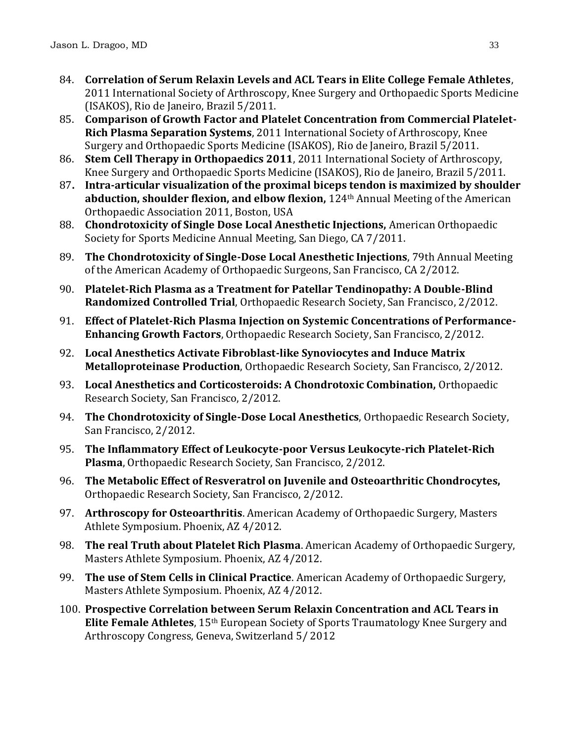- 84. **Correlation of Serum Relaxin Levels and ACL Tears in Elite College Female Athletes**, 2011 International Society of Arthroscopy, Knee Surgery and Orthopaedic Sports Medicine (ISAKOS), Rio de Janeiro, Brazil 5/2011.
- 85. **Comparison of Growth Factor and Platelet Concentration from Commercial Platelet-Rich Plasma Separation Systems**, 2011 International Society of Arthroscopy, Knee Surgery and Orthopaedic Sports Medicine (ISAKOS), Rio de Janeiro, Brazil 5/2011.
- 86. **Stem Cell Therapy in Orthopaedics 2011**, 2011 International Society of Arthroscopy, Knee Surgery and Orthopaedic Sports Medicine (ISAKOS), Rio de Janeiro, Brazil 5/2011.
- 87**. Intra-articular visualization of the proximal biceps tendon is maximized by shoulder abduction, shoulder flexion, and elbow flexion,** 124th Annual Meeting of the American Orthopaedic Association 2011, Boston, USA
- 88. **Chondrotoxicity of Single Dose Local Anesthetic Injections,** American Orthopaedic Society for Sports Medicine Annual Meeting, San Diego, CA 7/2011.
- 89. **The Chondrotoxicity of Single-Dose Local Anesthetic Injections**, 79th Annual Meeting of the American Academy of Orthopaedic Surgeons, San Francisco, CA 2/2012.
- 90. **Platelet-Rich Plasma as a Treatment for Patellar Tendinopathy: A Double-Blind Randomized Controlled Trial**, Orthopaedic Research Society, San Francisco, 2/2012.
- 91. **Effect of Platelet-Rich Plasma Injection on Systemic Concentrations of Performance-Enhancing Growth Factors**, Orthopaedic Research Society, San Francisco, 2/2012.
- 92. **Local Anesthetics Activate Fibroblast-like Synoviocytes and Induce Matrix Metalloproteinase Production**, Orthopaedic Research Society, San Francisco, 2/2012.
- 93. **Local Anesthetics and Corticosteroids: A Chondrotoxic Combination,** Orthopaedic Research Society, San Francisco, 2/2012.
- 94. **The Chondrotoxicity of Single-Dose Local Anesthetics**, Orthopaedic Research Society, San Francisco, 2/2012.
- 95. **The Inflammatory Effect of Leukocyte-poor Versus Leukocyte-rich Platelet-Rich Plasma**, Orthopaedic Research Society, San Francisco, 2/2012.
- 96. **The Metabolic Effect of Resveratrol on Juvenile and Osteoarthritic Chondrocytes,** Orthopaedic Research Society, San Francisco, 2/2012.
- 97. **Arthroscopy for Osteoarthritis**. American Academy of Orthopaedic Surgery, Masters Athlete Symposium. Phoenix, AZ 4/2012.
- 98. **The real Truth about Platelet Rich Plasma**. American Academy of Orthopaedic Surgery, Masters Athlete Symposium. Phoenix, AZ 4/2012.
- 99. **The use of Stem Cells in Clinical Practice**. American Academy of Orthopaedic Surgery, Masters Athlete Symposium. Phoenix, AZ 4/2012.
- 100. **Prospective Correlation between Serum Relaxin Concentration and ACL Tears in Elite Female Athletes**, 15th European Society of Sports Traumatology Knee Surgery and Arthroscopy Congress, Geneva, Switzerland 5/ 2012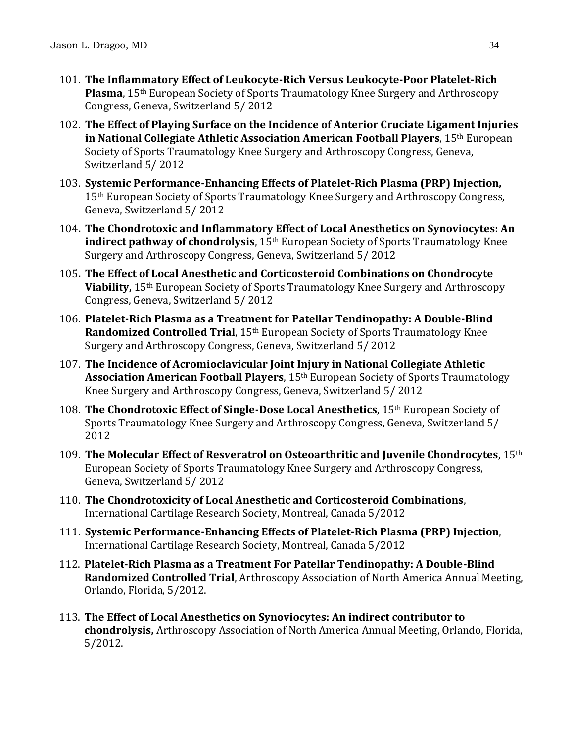- 101. **The Inflammatory Effect of Leukocyte-Rich Versus Leukocyte-Poor Platelet-Rich Plasma**, 15th European Society of Sports Traumatology Knee Surgery and Arthroscopy Congress, Geneva, Switzerland 5/ 2012
- 102. **The Effect of Playing Surface on the Incidence of Anterior Cruciate Ligament Injuries in National Collegiate Athletic Association American Football Players**, 15th European Society of Sports Traumatology Knee Surgery and Arthroscopy Congress, Geneva, Switzerland 5/ 2012
- 103. **Systemic Performance-Enhancing Effects of Platelet-Rich Plasma (PRP) Injection,**  15<sup>th</sup> European Society of Sports Traumatology Knee Surgery and Arthroscopy Congress, Geneva, Switzerland 5/ 2012
- 104**. The Chondrotoxic and Inflammatory Effect of Local Anesthetics on Synoviocytes: An indirect pathway of chondrolysis**, 15th European Society of Sports Traumatology Knee Surgery and Arthroscopy Congress, Geneva, Switzerland 5/ 2012
- 105**. The Effect of Local Anesthetic and Corticosteroid Combinations on Chondrocyte Viability,** 15th European Society of Sports Traumatology Knee Surgery and Arthroscopy Congress, Geneva, Switzerland 5/ 2012
- 106. **Platelet-Rich Plasma as a Treatment for Patellar Tendinopathy: A Double-Blind Randomized Controlled Trial**, 15th European Society of Sports Traumatology Knee Surgery and Arthroscopy Congress, Geneva, Switzerland 5/ 2012
- 107. **The Incidence of Acromioclavicular Joint Injury in National Collegiate Athletic Association American Football Players**, 15th European Society of Sports Traumatology Knee Surgery and Arthroscopy Congress, Geneva, Switzerland 5/ 2012
- 108. **The Chondrotoxic Effect of Single-Dose Local Anesthetics**, 15th European Society of Sports Traumatology Knee Surgery and Arthroscopy Congress, Geneva, Switzerland 5/ 2012
- 109. **The Molecular Effect of Resveratrol on Osteoarthritic and Juvenile Chondrocytes**, 15th European Society of Sports Traumatology Knee Surgery and Arthroscopy Congress, Geneva, Switzerland 5/ 2012
- 110. **The Chondrotoxicity of Local Anesthetic and Corticosteroid Combinations**, International Cartilage Research Society, Montreal, Canada 5/2012
- 111. **Systemic Performance-Enhancing Effects of Platelet-Rich Plasma (PRP) Injection**, International Cartilage Research Society, Montreal, Canada 5/2012
- 112. **Platelet-Rich Plasma as a Treatment For Patellar Tendinopathy: A Double-Blind Randomized Controlled Trial**, Arthroscopy Association of North America Annual Meeting, Orlando, Florida, 5/2012.
- 113. **The Effect of Local Anesthetics on Synoviocytes: An indirect contributor to chondrolysis,** Arthroscopy Association of North America Annual Meeting, Orlando, Florida, 5/2012.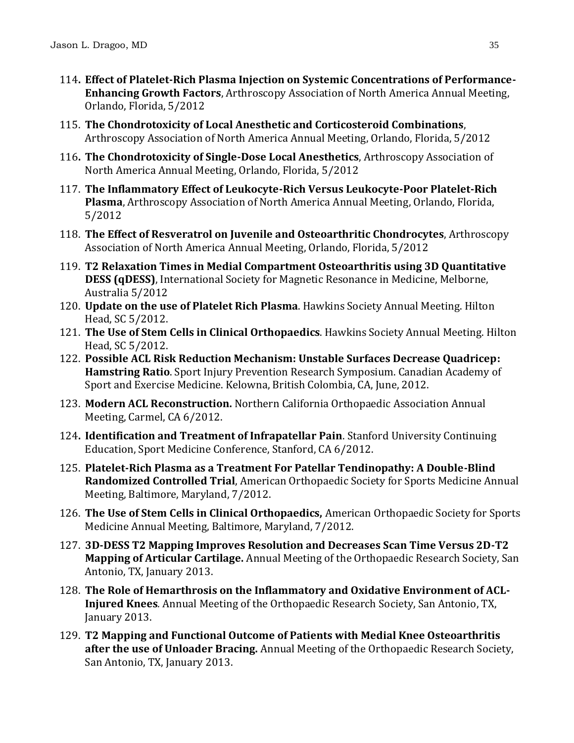- 114**. Effect of Platelet-Rich Plasma Injection on Systemic Concentrations of Performance-Enhancing Growth Factors**, Arthroscopy Association of North America Annual Meeting, Orlando, Florida, 5/2012
- 115. **The Chondrotoxicity of Local Anesthetic and Corticosteroid Combinations**, Arthroscopy Association of North America Annual Meeting, Orlando, Florida, 5/2012
- 116**. The Chondrotoxicity of Single-Dose Local Anesthetics**, Arthroscopy Association of North America Annual Meeting, Orlando, Florida, 5/2012
- 117. **The Inflammatory Effect of Leukocyte-Rich Versus Leukocyte-Poor Platelet-Rich Plasma**, Arthroscopy Association of North America Annual Meeting, Orlando, Florida, 5/2012
- 118. **The Effect of Resveratrol on Juvenile and Osteoarthritic Chondrocytes**, Arthroscopy Association of North America Annual Meeting, Orlando, Florida, 5/2012
- 119. **T2 Relaxation Times in Medial Compartment Osteoarthritis using 3D Quantitative DESS (qDESS)**, International Society for Magnetic Resonance in Medicine, Melborne, Australia 5/2012
- 120. **Update on the use of Platelet Rich Plasma**. Hawkins Society Annual Meeting. Hilton Head, SC 5/2012.
- 121. **The Use of Stem Cells in Clinical Orthopaedics**. Hawkins Society Annual Meeting. Hilton Head, SC 5/2012.
- 122. **Possible ACL Risk Reduction Mechanism: Unstable Surfaces Decrease Quadricep: Hamstring Ratio**. Sport Injury Prevention Research Symposium. Canadian Academy of Sport and Exercise Medicine. Kelowna, British Colombia, CA, June, 2012.
- 123. **Modern ACL Reconstruction.** Northern California Orthopaedic Association Annual Meeting, Carmel, CA 6/2012.
- 124**. Identification and Treatment of Infrapatellar Pain**. Stanford University Continuing Education, Sport Medicine Conference, Stanford, CA 6/2012.
- 125. **Platelet-Rich Plasma as a Treatment For Patellar Tendinopathy: A Double-Blind Randomized Controlled Trial**, American Orthopaedic Society for Sports Medicine Annual Meeting, Baltimore, Maryland, 7/2012.
- 126. **The Use of Stem Cells in Clinical Orthopaedics,** American Orthopaedic Society for Sports Medicine Annual Meeting, Baltimore, Maryland, 7/2012.
- 127. **3D-DESS T2 Mapping Improves Resolution and Decreases Scan Time Versus 2D-T2 Mapping of Articular Cartilage.** Annual Meeting of the Orthopaedic Research Society, San Antonio, TX, January 2013.
- 128. **The Role of Hemarthrosis on the Inflammatory and Oxidative Environment of ACL-Injured Knees***.* Annual Meeting of the Orthopaedic Research Society, San Antonio, TX, January 2013.
- 129. **T2 Mapping and Functional Outcome of Patients with Medial Knee Osteoarthritis after the use of Unloader Bracing.** Annual Meeting of the Orthopaedic Research Society, San Antonio, TX, January 2013.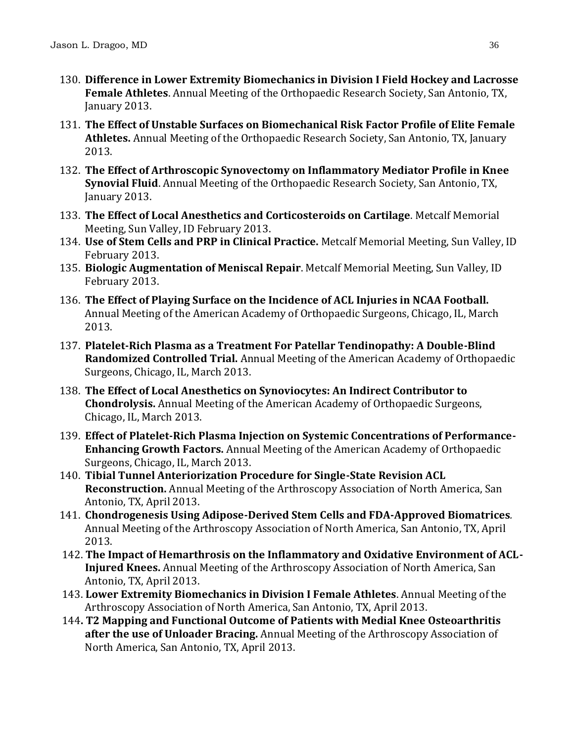- 130. **Difference in Lower Extremity Biomechanics in Division I Field Hockey and Lacrosse Female Athletes**. Annual Meeting of the Orthopaedic Research Society, San Antonio, TX, January 2013.
- 131. **The Effect of Unstable Surfaces on Biomechanical Risk Factor Profile of Elite Female Athletes.** Annual Meeting of the Orthopaedic Research Society, San Antonio, TX, January 2013.
- 132. **The Effect of Arthroscopic Synovectomy on Inflammatory Mediator Profile in Knee Synovial Fluid**. Annual Meeting of the Orthopaedic Research Society, San Antonio, TX, January 2013.
- 133. **The Effect of Local Anesthetics and Corticosteroids on Cartilage**. Metcalf Memorial Meeting, Sun Valley, ID February 2013.
- 134. **Use of Stem Cells and PRP in Clinical Practice.** Metcalf Memorial Meeting, Sun Valley, ID February 2013.
- 135. **Biologic Augmentation of Meniscal Repair**. Metcalf Memorial Meeting, Sun Valley, ID February 2013.
- 136. **The Effect of Playing Surface on the Incidence of ACL Injuries in NCAA Football.** Annual Meeting of the American Academy of Orthopaedic Surgeons, Chicago, IL, March 2013.
- 137. **Platelet-Rich Plasma as a Treatment For Patellar Tendinopathy: A Double-Blind Randomized Controlled Trial.** Annual Meeting of the American Academy of Orthopaedic Surgeons, Chicago, IL, March 2013.
- 138. **The Effect of Local Anesthetics on Synoviocytes: An Indirect Contributor to Chondrolysis.** Annual Meeting of the American Academy of Orthopaedic Surgeons, Chicago, IL, March 2013.
- 139. **Effect of Platelet-Rich Plasma Injection on Systemic Concentrations of Performance-Enhancing Growth Factors.** Annual Meeting of the American Academy of Orthopaedic Surgeons, Chicago, IL, March 2013.
- 140. **Tibial Tunnel Anteriorization Procedure for Single-State Revision ACL Reconstruction.** Annual Meeting of the Arthroscopy Association of North America, San Antonio, TX, April 2013.
- 141. **Chondrogenesis Using Adipose-Derived Stem Cells and FDA-Approved Biomatrices***.* Annual Meeting of the Arthroscopy Association of North America, San Antonio, TX, April 2013.
- 142. **The Impact of Hemarthrosis on the Inflammatory and Oxidative Environment of ACL-Injured Knees.** Annual Meeting of the Arthroscopy Association of North America, San Antonio, TX, April 2013.
- 143. **Lower Extremity Biomechanics in Division I Female Athletes**. Annual Meeting of the Arthroscopy Association of North America, San Antonio, TX, April 2013.
- 144**. T2 Mapping and Functional Outcome of Patients with Medial Knee Osteoarthritis after the use of Unloader Bracing.** Annual Meeting of the Arthroscopy Association of North America, San Antonio, TX, April 2013.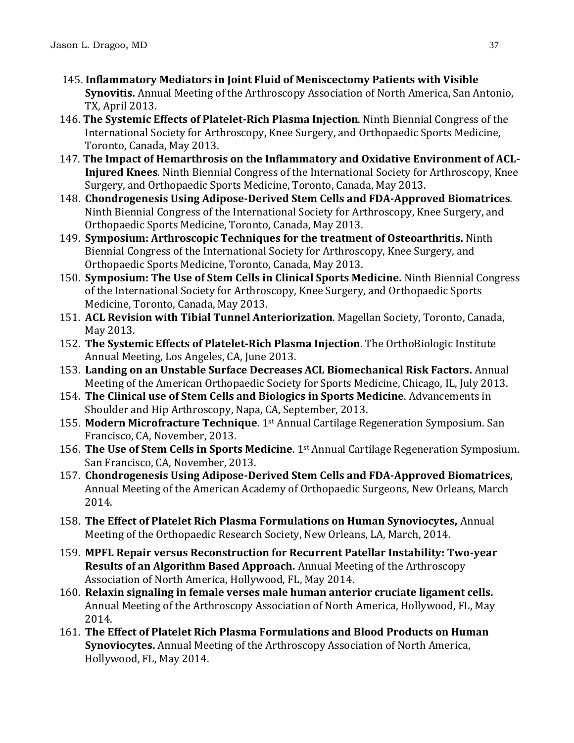- 145. **Inflammatory Mediators in Joint Fluid of Meniscectomy Patients with Visible Synovitis.** Annual Meeting of the Arthroscopy Association of North America, San Antonio, TX, April 2013.
- 146. **The Systemic Effects of Platelet-Rich Plasma Injection**. Ninth Biennial Congress of the International Society for Arthroscopy, Knee Surgery, and Orthopaedic Sports Medicine, Toronto, Canada, May 2013.
- 147*.* **The Impact of Hemarthrosis on the Inflammatory and Oxidative Environment of ACL-Injured Knees***.* Ninth Biennial Congress of the International Society for Arthroscopy, Knee Surgery, and Orthopaedic Sports Medicine, Toronto, Canada, May 2013.
- 148. **Chondrogenesis Using Adipose-Derived Stem Cells and FDA-Approved Biomatrices***.*  Ninth Biennial Congress of the International Society for Arthroscopy, Knee Surgery, and Orthopaedic Sports Medicine, Toronto, Canada, May 2013.
- 149. **Symposium: Arthroscopic Techniques for the treatment of Osteoarthritis.** Ninth Biennial Congress of the International Society for Arthroscopy, Knee Surgery, and Orthopaedic Sports Medicine, Toronto, Canada, May 2013.
- 150. **Symposium: The Use of Stem Cells in Clinical Sports Medicine.** Ninth Biennial Congress of the International Society for Arthroscopy, Knee Surgery, and Orthopaedic Sports Medicine, Toronto, Canada, May 2013.
- 151. **ACL Revision with Tibial Tunnel Anteriorization**. Magellan Society, Toronto, Canada, May 2013.
- 152. **The Systemic Effects of Platelet-Rich Plasma Injection**. The OrthoBiologic Institute Annual Meeting, Los Angeles, CA, June 2013.
- 153. **Landing on an Unstable Surface Decreases ACL Biomechanical Risk Factors.** Annual Meeting of the American Orthopaedic Society for Sports Medicine, Chicago, IL, July 2013.
- 154. **The Clinical use of Stem Cells and Biologics in Sports Medicine**. Advancements in Shoulder and Hip Arthroscopy, Napa, CA, September, 2013.
- 155. **Modern Microfracture Technique**. 1st Annual Cartilage Regeneration Symposium. San Francisco, CA, November, 2013.
- 156. **The Use of Stem Cells in Sports Medicine**. 1st Annual Cartilage Regeneration Symposium. San Francisco, CA, November, 2013.
- 157. **Chondrogenesis Using Adipose-Derived Stem Cells and FDA-Approved Biomatrices,**  Annual Meeting of the American Academy of Orthopaedic Surgeons, New Orleans, March 2014.
- 158. **The Effect of Platelet Rich Plasma Formulations on Human Synoviocytes,** Annual Meeting of the Orthopaedic Research Society, New Orleans, LA, March, 2014.
- 159. **MPFL Repair versus Reconstruction for Recurrent Patellar Instability: Two-year Results of an Algorithm Based Approach.** Annual Meeting of the Arthroscopy Association of North America, Hollywood, FL, May 2014.
- 160. **Relaxin signaling in female verses male human anterior cruciate ligament cells.** Annual Meeting of the Arthroscopy Association of North America, Hollywood, FL, May 2014.
- 161. **The Effect of Platelet Rich Plasma Formulations and Blood Products on Human Synoviocytes.** Annual Meeting of the Arthroscopy Association of North America, Hollywood, FL, May 2014.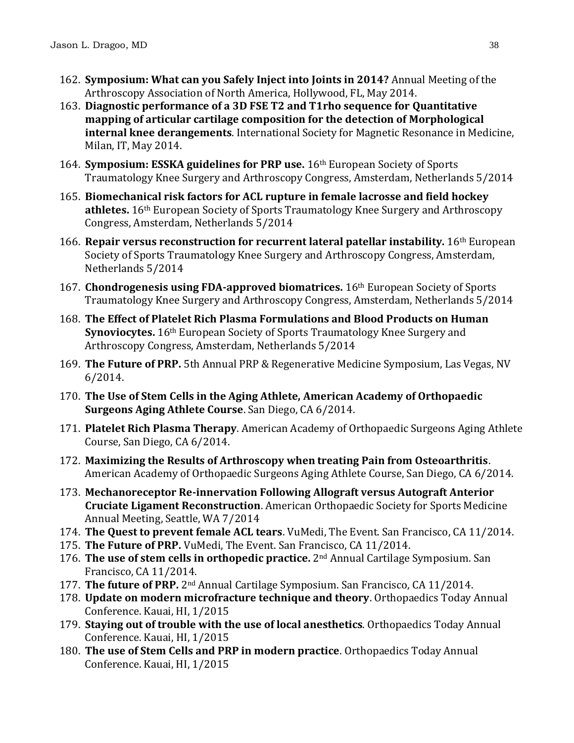- 162. **Symposium: What can you Safely Inject into Joints in 2014?** Annual Meeting of the Arthroscopy Association of North America, Hollywood, FL, May 2014.
- 163. **Diagnostic performance of a 3D FSE T2 and T1rho sequence for Quantitative mapping of articular cartilage composition for the detection of Morphological internal knee derangements**. International Society for Magnetic Resonance in Medicine, Milan, IT, May 2014.
- 164. **Symposium: ESSKA guidelines for PRP use.** 16th European Society of Sports Traumatology Knee Surgery and Arthroscopy Congress, Amsterdam, Netherlands 5/2014
- 165. **Biomechanical risk factors for ACL rupture in female lacrosse and field hockey athletes.** 16th European Society of Sports Traumatology Knee Surgery and Arthroscopy Congress, Amsterdam, Netherlands 5/2014
- 166. **Repair versus reconstruction for recurrent lateral patellar instability.** 16th European Society of Sports Traumatology Knee Surgery and Arthroscopy Congress, Amsterdam, Netherlands 5/2014
- 167. **Chondrogenesis using FDA-approved biomatrices.** 16th European Society of Sports Traumatology Knee Surgery and Arthroscopy Congress, Amsterdam, Netherlands 5/2014
- 168. **The Effect of Platelet Rich Plasma Formulations and Blood Products on Human Synoviocytes.** 16th European Society of Sports Traumatology Knee Surgery and Arthroscopy Congress, Amsterdam, Netherlands 5/2014
- 169. **The Future of PRP.** 5th Annual PRP & Regenerative Medicine Symposium, Las Vegas, NV 6/2014.
- 170. **The Use of Stem Cells in the Aging Athlete, American Academy of Orthopaedic Surgeons Aging Athlete Course**. San Diego, CA 6/2014.
- 171. **Platelet Rich Plasma Therapy**. American Academy of Orthopaedic Surgeons Aging Athlete Course, San Diego, CA 6/2014.
- 172. **Maximizing the Results of Arthroscopy when treating Pain from Osteoarthritis**. American Academy of Orthopaedic Surgeons Aging Athlete Course, San Diego, CA 6/2014.
- 173. **Mechanoreceptor Re-innervation Following Allograft versus Autograft Anterior Cruciate Ligament Reconstruction**. American Orthopaedic Society for Sports Medicine Annual Meeting, Seattle, WA 7/2014
- 174. **The Quest to prevent female ACL tears**. VuMedi, The Event. San Francisco, CA 11/2014.
- 175. **The Future of PRP.** VuMedi, The Event. San Francisco, CA 11/2014.
- 176. **The use of stem cells in orthopedic practice.** 2nd Annual Cartilage Symposium. San Francisco, CA 11/2014.
- 177. **The future of PRP.** 2nd Annual Cartilage Symposium. San Francisco, CA 11/2014.
- 178. **Update on modern microfracture technique and theory**. Orthopaedics Today Annual Conference. Kauai, HI, 1/2015
- 179. **Staying out of trouble with the use of local anesthetics**. Orthopaedics Today Annual Conference. Kauai, HI, 1/2015
- 180. **The use of Stem Cells and PRP in modern practice**. Orthopaedics Today Annual Conference. Kauai, HI, 1/2015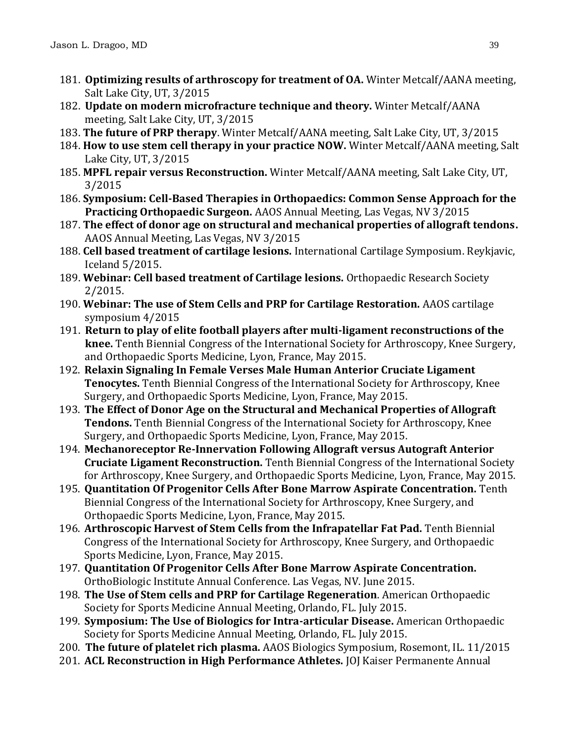- 181. **Optimizing results of arthroscopy for treatment of OA.** Winter Metcalf/AANA meeting, Salt Lake City, UT, 3/2015
- 182. **Update on modern microfracture technique and theory.** Winter Metcalf/AANA meeting, Salt Lake City, UT, 3/2015
- 183. **The future of PRP therapy**. Winter Metcalf/AANA meeting, Salt Lake City, UT, 3/2015
- 184. **How to use stem cell therapy in your practice NOW.** Winter Metcalf/AANA meeting, Salt Lake City, UT, 3/2015
- 185. **MPFL repair versus Reconstruction.** Winter Metcalf/AANA meeting, Salt Lake City, UT, 3/2015
- 186. **Symposium: Cell-Based Therapies in Orthopaedics: Common Sense Approach for the Practicing Orthopaedic Surgeon.** AAOS Annual Meeting, Las Vegas, NV 3/2015
- 187. **The effect of donor age on structural and mechanical properties of allograft tendons.** AAOS Annual Meeting, Las Vegas, NV 3/2015
- 188. **Cell based treatment of cartilage lesions.** International Cartilage Symposium. Reykjavic, Iceland 5/2015.
- 189. **Webinar: Cell based treatment of Cartilage lesions.** Orthopaedic Research Society 2/2015.
- 190. **Webinar: The use of Stem Cells and PRP for Cartilage Restoration.** AAOS cartilage symposium 4/2015
- 191. **Return to play of elite football players after multi-ligament reconstructions of the knee.** Tenth Biennial Congress of the International Society for Arthroscopy, Knee Surgery, and Orthopaedic Sports Medicine, Lyon, France, May 2015.
- 192. **Relaxin Signaling In Female Verses Male Human Anterior Cruciate Ligament Tenocytes.** Tenth Biennial Congress of the International Society for Arthroscopy, Knee Surgery, and Orthopaedic Sports Medicine, Lyon, France, May 2015.
- 193. **The Effect of Donor Age on the Structural and Mechanical Properties of Allograft Tendons.** Tenth Biennial Congress of the International Society for Arthroscopy, Knee Surgery, and Orthopaedic Sports Medicine, Lyon, France, May 2015.
- 194. **Mechanoreceptor Re-Innervation Following Allograft versus Autograft Anterior Cruciate Ligament Reconstruction.** Tenth Biennial Congress of the International Society for Arthroscopy, Knee Surgery, and Orthopaedic Sports Medicine, Lyon, France, May 2015.
- 195. **Quantitation Of Progenitor Cells After Bone Marrow Aspirate Concentration.** Tenth Biennial Congress of the International Society for Arthroscopy, Knee Surgery, and Orthopaedic Sports Medicine, Lyon, France, May 2015.
- 196. **Arthroscopic Harvest of Stem Cells from the Infrapatellar Fat Pad.** Tenth Biennial Congress of the International Society for Arthroscopy, Knee Surgery, and Orthopaedic Sports Medicine, Lyon, France, May 2015.
- 197. **Quantitation Of Progenitor Cells After Bone Marrow Aspirate Concentration.** OrthoBiologic Institute Annual Conference. Las Vegas, NV. June 2015.
- 198. **The Use of Stem cells and PRP for Cartilage Regeneration**. American Orthopaedic Society for Sports Medicine Annual Meeting, Orlando, FL. July 2015.
- 199. **Symposium: The Use of Biologics for Intra-articular Disease.** American Orthopaedic Society for Sports Medicine Annual Meeting, Orlando, FL. July 2015.
- 200. **The future of platelet rich plasma.** AAOS Biologics Symposium, Rosemont, IL. 11/2015
- 201. **ACL Reconstruction in High Performance Athletes.** JOJ Kaiser Permanente Annual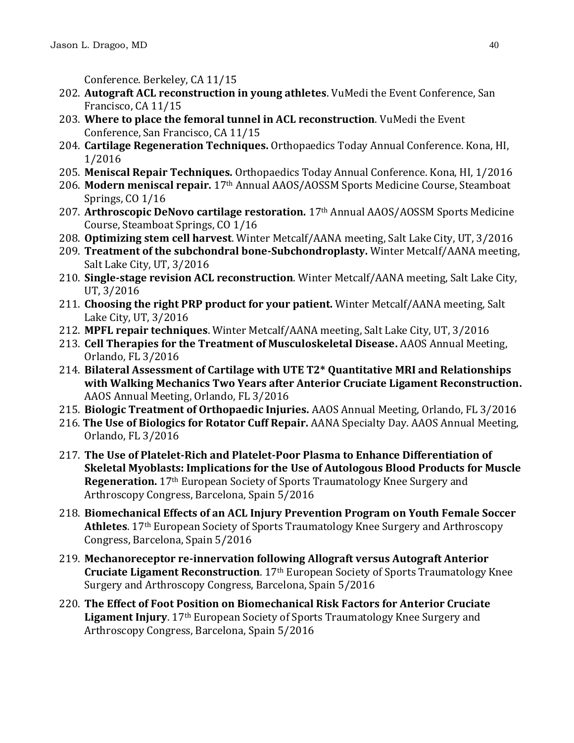Conference. Berkeley, CA 11/15

- 202. **Autograft ACL reconstruction in young athletes**. VuMedi the Event Conference, San Francisco, CA 11/15
- 203. **Where to place the femoral tunnel in ACL reconstruction**. VuMedi the Event Conference, San Francisco, CA 11/15
- 204. **Cartilage Regeneration Techniques.** Orthopaedics Today Annual Conference. Kona, HI, 1/2016
- 205. **Meniscal Repair Techniques.** Orthopaedics Today Annual Conference. Kona, HI, 1/2016
- 206. **Modern meniscal repair.** 17th Annual AAOS/AOSSM Sports Medicine Course, Steamboat Springs, CO 1/16
- 207. **Arthroscopic DeNovo cartilage restoration.** 17th Annual AAOS/AOSSM Sports Medicine Course, Steamboat Springs, CO 1/16
- 208. **Optimizing stem cell harvest**. Winter Metcalf/AANA meeting, Salt Lake City, UT, 3/2016
- 209. **Treatment of the subchondral bone-Subchondroplasty.** Winter Metcalf/AANA meeting, Salt Lake City, UT, 3/2016
- 210. **Single-stage revision ACL reconstruction**. Winter Metcalf/AANA meeting, Salt Lake City, UT, 3/2016
- 211. **Choosing the right PRP product for your patient.** Winter Metcalf/AANA meeting, Salt Lake City, UT, 3/2016
- 212. **MPFL repair techniques**. Winter Metcalf/AANA meeting, Salt Lake City, UT, 3/2016
- 213. **Cell Therapies for the Treatment of Musculoskeletal Disease.** AAOS Annual Meeting, Orlando, FL 3/2016
- 214. **Bilateral Assessment of Cartilage with UTE T2\* Quantitative MRI and Relationships with Walking Mechanics Two Years after Anterior Cruciate Ligament Reconstruction.**  AAOS Annual Meeting, Orlando, FL 3/2016
- 215. **Biologic Treatment of Orthopaedic Injuries.** AAOS Annual Meeting, Orlando, FL 3/2016
- 216. **The Use of Biologics for Rotator Cuff Repair.** AANA Specialty Day. AAOS Annual Meeting, Orlando, FL 3/2016
- 217. **The Use of Platelet-Rich and Platelet-Poor Plasma to Enhance Differentiation of Skeletal Myoblasts: Implications for the Use of Autologous Blood Products for Muscle Regeneration.** 17th European Society of Sports Traumatology Knee Surgery and Arthroscopy Congress, Barcelona, Spain 5/2016
- 218. **Biomechanical Effects of an ACL Injury Prevention Program on Youth Female Soccer Athletes**. 17th European Society of Sports Traumatology Knee Surgery and Arthroscopy Congress, Barcelona, Spain 5/2016
- 219. **Mechanoreceptor re-innervation following Allograft versus Autograft Anterior Cruciate Ligament Reconstruction**. 17th European Society of Sports Traumatology Knee Surgery and Arthroscopy Congress, Barcelona, Spain 5/2016
- 220. **The Effect of Foot Position on Biomechanical Risk Factors for Anterior Cruciate Ligament Injury.** 17<sup>th</sup> European Society of Sports Traumatology Knee Surgery and Arthroscopy Congress, Barcelona, Spain 5/2016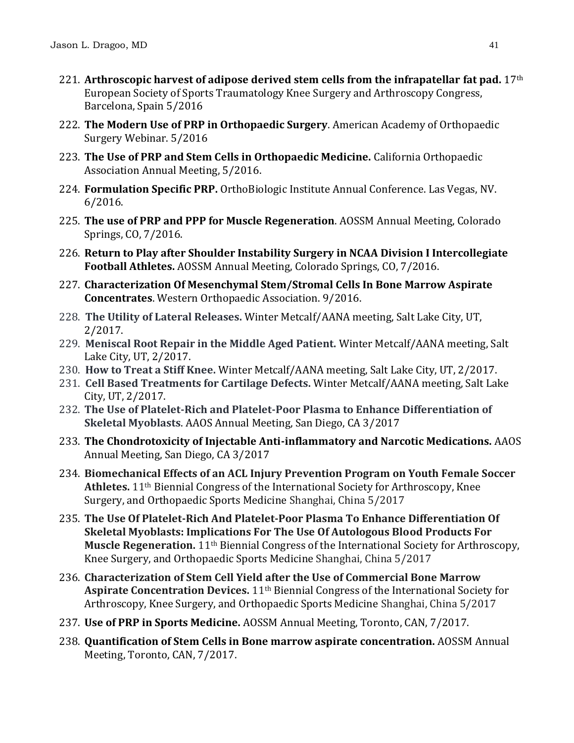- 221. **Arthroscopic harvest of adipose derived stem cells from the infrapatellar fat pad.** 17th European Society of Sports Traumatology Knee Surgery and Arthroscopy Congress, Barcelona, Spain 5/2016
- 222. **The Modern Use of PRP in Orthopaedic Surgery**. American Academy of Orthopaedic Surgery Webinar. 5/2016
- 223. **The Use of PRP and Stem Cells in Orthopaedic Medicine.** California Orthopaedic Association Annual Meeting, 5/2016.
- 224. **Formulation Specific PRP.** OrthoBiologic Institute Annual Conference. Las Vegas, NV. 6/2016.
- 225. **The use of PRP and PPP for Muscle Regeneration**. AOSSM Annual Meeting, Colorado Springs, CO, 7/2016.
- 226. **Return to Play after Shoulder Instability Surgery in NCAA Division I Intercollegiate Football Athletes.** AOSSM Annual Meeting, Colorado Springs, CO, 7/2016.
- 227. **Characterization Of Mesenchymal Stem/Stromal Cells In Bone Marrow Aspirate Concentrates**. Western Orthopaedic Association. 9/2016.
- 228. **The Utility of Lateral Releases.** Winter Metcalf/AANA meeting, Salt Lake City, UT, 2/2017.
- 229. **Meniscal Root Repair in the Middle Aged Patient.** Winter Metcalf/AANA meeting, Salt Lake City, UT, 2/2017.
- 230. **How to Treat a Stiff Knee.** Winter Metcalf/AANA meeting, Salt Lake City, UT, 2/2017.
- 231. **Cell Based Treatments for Cartilage Defects.** Winter Metcalf/AANA meeting, Salt Lake City, UT, 2/2017.
- 232. **The Use of Platelet-Rich and Platelet-Poor Plasma to Enhance Differentiation of Skeletal Myoblasts**. AAOS Annual Meeting, San Diego, CA 3/2017
- 233. **The Chondrotoxicity of Injectable Anti-inflammatory and Narcotic Medications.** AAOS Annual Meeting, San Diego, CA 3/2017
- 234. **Biomechanical Effects of an ACL Injury Prevention Program on Youth Female Soccer Athletes.** 11th Biennial Congress of the International Society for Arthroscopy, Knee Surgery, and Orthopaedic Sports Medicine Shanghai, China 5/2017
- 235. **The Use Of Platelet-Rich And Platelet-Poor Plasma To Enhance Differentiation Of Skeletal Myoblasts: Implications For The Use Of Autologous Blood Products For Muscle Regeneration.** 11th Biennial Congress of the International Society for Arthroscopy, Knee Surgery, and Orthopaedic Sports Medicine Shanghai, China 5/2017
- 236. **Characterization of Stem Cell Yield after the Use of Commercial Bone Marrow Aspirate Concentration Devices.** 11th Biennial Congress of the International Society for Arthroscopy, Knee Surgery, and Orthopaedic Sports Medicine Shanghai, China 5/2017
- 237. **Use of PRP in Sports Medicine.** AOSSM Annual Meeting, Toronto, CAN, 7/2017.
- 238. **Quantification of Stem Cells in Bone marrow aspirate concentration.** AOSSM Annual Meeting, Toronto, CAN, 7/2017.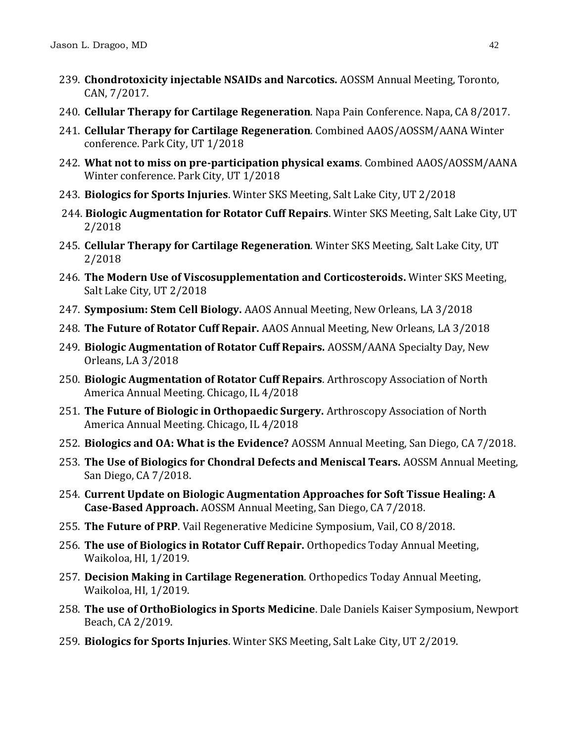- 239. **Chondrotoxicity injectable NSAIDs and Narcotics.** AOSSM Annual Meeting, Toronto, CAN, 7/2017.
- 240. **Cellular Therapy for Cartilage Regeneration**. Napa Pain Conference. Napa, CA 8/2017.
- 241. **Cellular Therapy for Cartilage Regeneration**. Combined AAOS/AOSSM/AANA Winter conference. Park City, UT 1/2018
- 242. **What not to miss on pre-participation physical exams**. Combined AAOS/AOSSM/AANA Winter conference. Park City, UT 1/2018
- 243. **Biologics for Sports Injuries**. Winter SKS Meeting, Salt Lake City, UT 2/2018
- 244. **Biologic Augmentation for Rotator Cuff Repairs**. Winter SKS Meeting, Salt Lake City, UT 2/2018
- 245. **Cellular Therapy for Cartilage Regeneration**. Winter SKS Meeting, Salt Lake City, UT 2/2018
- 246. **The Modern Use of Viscosupplementation and Corticosteroids.** Winter SKS Meeting, Salt Lake City, UT 2/2018
- 247. **Symposium: Stem Cell Biology.** AAOS Annual Meeting, New Orleans, LA 3/2018
- 248. **The Future of Rotator Cuff Repair.** AAOS Annual Meeting, New Orleans, LA 3/2018
- 249. **Biologic Augmentation of Rotator Cuff Repairs.** AOSSM/AANA Specialty Day, New Orleans, LA 3/2018
- 250. **Biologic Augmentation of Rotator Cuff Repairs**. Arthroscopy Association of North America Annual Meeting. Chicago, IL 4/2018
- 251. **The Future of Biologic in Orthopaedic Surgery.** Arthroscopy Association of North America Annual Meeting. Chicago, IL 4/2018
- 252. **Biologics and OA: What is the Evidence?** AOSSM Annual Meeting, San Diego, CA 7/2018.
- 253. **The Use of Biologics for Chondral Defects and Meniscal Tears.** AOSSM Annual Meeting, San Diego, CA 7/2018.
- 254. **Current Update on Biologic Augmentation Approaches for Soft Tissue Healing: A Case-Based Approach.** AOSSM Annual Meeting, San Diego, CA 7/2018.
- 255. **The Future of PRP**. Vail Regenerative Medicine Symposium, Vail, CO 8/2018.
- 256. **The use of Biologics in Rotator Cuff Repair.** Orthopedics Today Annual Meeting, Waikoloa, HI, 1/2019.
- 257. **Decision Making in Cartilage Regeneration**. Orthopedics Today Annual Meeting, Waikoloa, HI, 1/2019.
- 258. **The use of OrthoBiologics in Sports Medicine**. Dale Daniels Kaiser Symposium, Newport Beach, CA 2/2019.
- 259. **Biologics for Sports Injuries**. Winter SKS Meeting, Salt Lake City, UT 2/2019.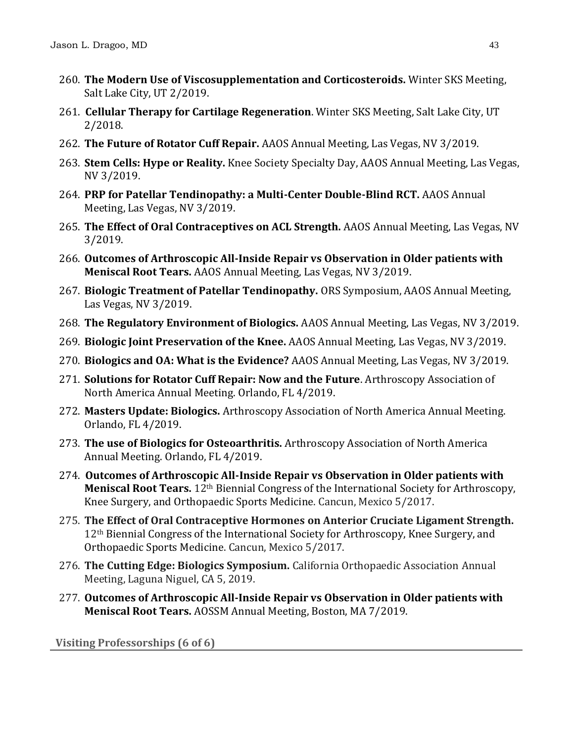- 260. **The Modern Use of Viscosupplementation and Corticosteroids.** Winter SKS Meeting, Salt Lake City, UT 2/2019.
- 261. **Cellular Therapy for Cartilage Regeneration**. Winter SKS Meeting, Salt Lake City, UT 2/2018.
- 262. **The Future of Rotator Cuff Repair.** AAOS Annual Meeting, Las Vegas, NV 3/2019.
- 263. **Stem Cells: Hype or Reality.** Knee Society Specialty Day, AAOS Annual Meeting, Las Vegas, NV 3/2019.
- 264. **PRP for Patellar Tendinopathy: a Multi-Center Double-Blind RCT.** AAOS Annual Meeting, Las Vegas, NV 3/2019.
- 265. **The Effect of Oral Contraceptives on ACL Strength.** AAOS Annual Meeting, Las Vegas, NV 3/2019.
- 266. **Outcomes of Arthroscopic All-Inside Repair vs Observation in Older patients with Meniscal Root Tears.** AAOS Annual Meeting, Las Vegas, NV 3/2019.
- 267. **Biologic Treatment of Patellar Tendinopathy.** ORS Symposium, AAOS Annual Meeting, Las Vegas, NV 3/2019.
- 268. **The Regulatory Environment of Biologics.** AAOS Annual Meeting, Las Vegas, NV 3/2019.
- 269. **Biologic Joint Preservation of the Knee.** AAOS Annual Meeting, Las Vegas, NV 3/2019.
- 270. **Biologics and OA: What is the Evidence?** AAOS Annual Meeting, Las Vegas, NV 3/2019.
- 271. **Solutions for Rotator Cuff Repair: Now and the Future**. Arthroscopy Association of North America Annual Meeting. Orlando, FL 4/2019.
- 272. **Masters Update: Biologics.** Arthroscopy Association of North America Annual Meeting. Orlando, FL 4/2019.
- 273. **The use of Biologics for Osteoarthritis.** Arthroscopy Association of North America Annual Meeting. Orlando, FL 4/2019.
- 274. **Outcomes of Arthroscopic All-Inside Repair vs Observation in Older patients with Meniscal Root Tears.** 12<sup>th</sup> Biennial Congress of the International Society for Arthroscopy, Knee Surgery, and Orthopaedic Sports Medicine. Cancun, Mexico 5/2017.
- 275. **The Effect of Oral Contraceptive Hormones on Anterior Cruciate Ligament Strength.**  12th Biennial Congress of the International Society for Arthroscopy, Knee Surgery, and Orthopaedic Sports Medicine. Cancun, Mexico 5/2017.
- 276. **The Cutting Edge: Biologics Symposium.** California Orthopaedic Association Annual Meeting, Laguna Niguel, CA 5, 2019.
- 277. **Outcomes of Arthroscopic All-Inside Repair vs Observation in Older patients with Meniscal Root Tears.** AOSSM Annual Meeting, Boston, MA 7/2019.

**Visiting Professorships (6 of 6)**